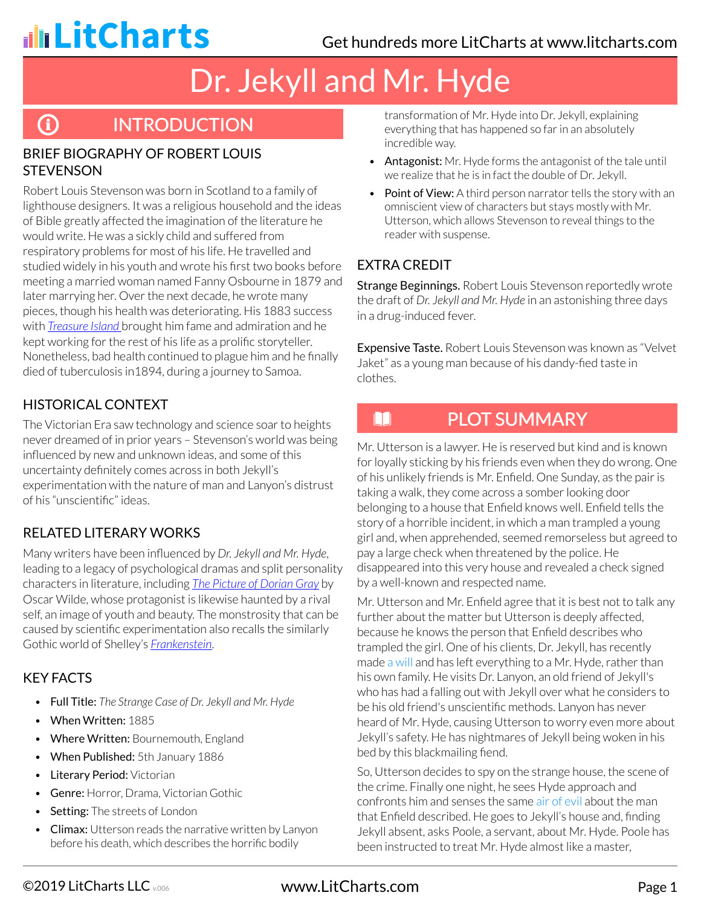**G** 

# Dr. Jekyll and Mr. Hyde

# **INTRODUCTION**

#### BRIEF BIOGRAPHY OF ROBERT LOUIS **STEVENSON**

Robert Louis Stevenson was born in Scotland to a family of lighthouse designers. It was a religious household and the ideas of Bible greatly affected the imagination of the literature he would write. He was a sickly child and suffered from respiratory problems for most of his life. He travelled and studied widely in his youth and wrote his first two books before meeting a married woman named Fanny Osbourne in 1879 and later marrying her. Over the next decade, he wrote many pieces, though his health was deteriorating. His 1883 success with *[Treasure Island](http://www.litcharts.com/lit/treasure-island)* brought him fame and admiration and he kept working for the rest of his life as a prolific storyteller. Nonetheless, bad health continued to plague him and he finally died of tuberculosis in1894, during a journey to Samoa.

### HISTORICAL CONTEXT

The Victorian Era saw technology and science soar to heights never dreamed of in prior years – Stevenson's world was being influenced by new and unknown ideas, and some of this uncertainty definitely comes across in both Jekyll's experimentation with the nature of man and Lanyon's distrust of his "unscientific" ideas.

### RELATED LITERARY WORKS

Many writers have been influenced by *Dr. Jekyll and Mr. Hyde*, leading to a legacy of psychological dramas and split personality characters in literature, including *[The Picture of Dorian Gray](http://www.litcharts.com/lit/the-picture-of-dorian-gray)* by Oscar Wilde, whose protagonist is likewise haunted by a rival self, an image of youth and beauty. The monstrosity that can be caused by scientific experimentation also recalls the similarly Gothic world of Shelley's *[Frankenstein](http://www.litcharts.com/lit/frankenstein)*.

#### KEY FACTS

- Full Title: *The Strange Case of Dr. Jekyll and Mr. Hyde*
- When Written: 1885
- Where Written: Bournemouth, England
- When Published: 5th January 1886
- Literary Period: Victorian
- Genre: Horror, Drama, Victorian Gothic
- Setting: The streets of London
- Climax: Utterson reads the narrative written by Lanyon before his death, which describes the horrific bodily

transformation of Mr. Hyde into Dr. Jekyll, explaining everything that has happened so far in an absolutely incredible way.

- Antagonist: Mr. Hyde forms the antagonist of the tale until we realize that he is in fact the double of Dr. Jekyll.
- Point of View: A third person narrator tells the story with an omniscient view of characters but stays mostly with Mr. Utterson, which allows Stevenson to reveal things to the reader with suspense.

### EXTRA CREDIT

N

Strange Beginnings. Robert Louis Stevenson reportedly wrote the draft of *Dr. Jekyll and Mr. Hyde* in an astonishing three days in a drug-induced fever.

Expensive Taste. Robert Louis Stevenson was known as "Velvet Jaket" as a young man because of his dandy-fied taste in clothes.

# PLOT SUMMARY

Mr. Utterson is a lawyer. He is reserved but kind and is known for loyally sticking by his friends even when they do wrong. One of his unlikely friends is Mr. Enfield. One Sunday, as the pair is taking a walk, they come across a somber looking door belonging to a house that Enfield knows well. Enfield tells the story of a horrible incident, in which a man trampled a young girl and, when apprehended, seemed remorseless but agreed to pay a large check when threatened by the police. He disappeared into this very house and revealed a check signed by a well-known and respected name.

Mr. Utterson and Mr. Enfield agree that it is best not to talk any further about the matter but Utterson is deeply affected, because he knows the person that Enfield describes who trampled the girl. One of his clients, Dr. Jekyll, has recently made a will and has left everything to a Mr. Hyde, rather than his own family. He visits Dr. Lanyon, an old friend of Jekyll's who has had a falling out with Jekyll over what he considers to be his old friend's unscientific methods. Lanyon has never heard of Mr. Hyde, causing Utterson to worry even more about Jekyll's safety. He has nightmares of Jekyll being woken in his bed by this blackmailing fiend.

So, Utterson decides to spy on the strange house, the scene of the crime. Finally one night, he sees Hyde approach and confronts him and senses the same air of evil about the man that Enfield described. He goes to Jekyll's house and, finding Jekyll absent, asks Poole, a servant, about Mr. Hyde. Poole has been instructed to treat Mr. Hyde almost like a master,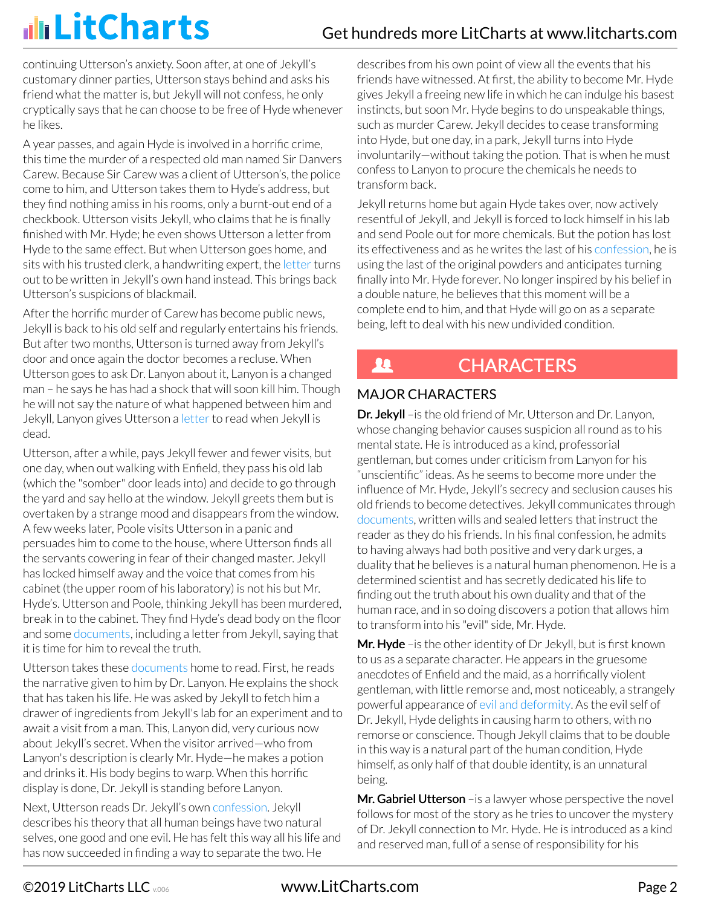continuing Utterson's anxiety. Soon after, at one of Jekyll's customary dinner parties, Utterson stays behind and asks his friend what the matter is, but Jekyll will not confess, he only cryptically says that he can choose to be free of Hyde whenever he likes.

A year passes, and again Hyde is involved in a horrific crime, this time the murder of a respected old man named Sir Danvers Carew. Because Sir Carew was a client of Utterson's, the police come to him, and Utterson takes them to Hyde's address, but they find nothing amiss in his rooms, only a burnt-out end of a checkbook. Utterson visits Jekyll, who claims that he is finally finished with Mr. Hyde; he even shows Utterson a letter from Hyde to the same effect. But when Utterson goes home, and sits with his trusted clerk, a handwriting expert, the letter turns out to be written in Jekyll's own hand instead. This brings back Utterson's suspicions of blackmail.

After the horrific murder of Carew has become public news, Jekyll is back to his old self and regularly entertains his friends. But after two months, Utterson is turned away from Jekyll's door and once again the doctor becomes a recluse. When Utterson goes to ask Dr. Lanyon about it, Lanyon is a changed man – he says he has had a shock that will soon kill him. Though he will not say the nature of what happened between him and Jekyll, Lanyon gives Utterson a letter to read when Jekyll is dead.

Utterson, after a while, pays Jekyll fewer and fewer visits, but one day, when out walking with Enfield, they pass his old lab (which the "somber" door leads into) and decide to go through the yard and say hello at the window. Jekyll greets them but is overtaken by a strange mood and disappears from the window. A few weeks later, Poole visits Utterson in a panic and persuades him to come to the house, where Utterson finds all the servants cowering in fear of their changed master. Jekyll has locked himself away and the voice that comes from his cabinet (the upper room of his laboratory) is not his but Mr. Hyde's. Utterson and Poole, thinking Jekyll has been murdered, break in to the cabinet. They find Hyde's dead body on the floor and some documents, including a letter from Jekyll, saying that it is time for him to reveal the truth.

Utterson takes these documents home to read. First, he reads the narrative given to him by Dr. Lanyon. He explains the shock that has taken his life. He was asked by Jekyll to fetch him a drawer of ingredients from Jekyll's lab for an experiment and to await a visit from a man. This, Lanyon did, very curious now about Jekyll's secret. When the visitor arrived—who from Lanyon's description is clearly Mr. Hyde—he makes a potion and drinks it. His body begins to warp. When this horrific display is done, Dr. Jekyll is standing before Lanyon.

Next, Utterson reads Dr. Jekyll's own confession. Jekyll describes his theory that all human beings have two natural selves, one good and one evil. He has felt this way all his life and has now succeeded in finding a way to separate the two. He

describes from his own point of view all the events that his friends have witnessed. At first, the ability to become Mr. Hyde gives Jekyll a freeing new life in which he can indulge his basest instincts, but soon Mr. Hyde begins to do unspeakable things, such as murder Carew. Jekyll decides to cease transforming into Hyde, but one day, in a park, Jekyll turns into Hyde involuntarily—without taking the potion. That is when he must confess to Lanyon to procure the chemicals he needs to transform back.

Jekyll returns home but again Hyde takes over, now actively resentful of Jekyll, and Jekyll is forced to lock himself in his lab and send Poole out for more chemicals. But the potion has lost its effectiveness and as he writes the last of his confession, he is using the last of the original powders and anticipates turning finally into Mr. Hyde forever. No longer inspired by his belief in a double nature, he believes that this moment will be a complete end to him, and that Hyde will go on as a separate being, left to deal with his new undivided condition.

#### **CHARACTERS** Ŀ

### MAJOR CHARACTERS

Dr. Jekyll - is the old friend of Mr. Utterson and Dr. Lanyon, whose changing behavior causes suspicion all round as to his mental state. He is introduced as a kind, professorial gentleman, but comes under criticism from Lanyon for his "unscientific" ideas. As he seems to become more under the influence of Mr. Hyde, Jekyll's secrecy and seclusion causes his old friends to become detectives. Jekyll communicates through documents, written wills and sealed letters that instruct the reader as they do his friends. In his final confession, he admits to having always had both positive and very dark urges, a duality that he believes is a natural human phenomenon. He is a determined scientist and has secretly dedicated his life to finding out the truth about his own duality and that of the human race, and in so doing discovers a potion that allows him to transform into his "evil" side, Mr. Hyde.

Mr. Hyde – is the other identity of Dr Jekyll, but is first known to us as a separate character. He appears in the gruesome anecdotes of Enfield and the maid, as a horrifically violent gentleman, with little remorse and, most noticeably, a strangely powerful appearance of evil and deformity. As the evil self of Dr. Jekyll, Hyde delights in causing harm to others, with no remorse or conscience. Though Jekyll claims that to be double in this way is a natural part of the human condition, Hyde himself, as only half of that double identity, is an unnatural being.

Mr. Gabriel Utterson - is a lawyer whose perspective the novel follows for most of the story as he tries to uncover the mystery of Dr. Jekyll connection to Mr. Hyde. He is introduced as a kind and reserved man, full of a sense of responsibility for his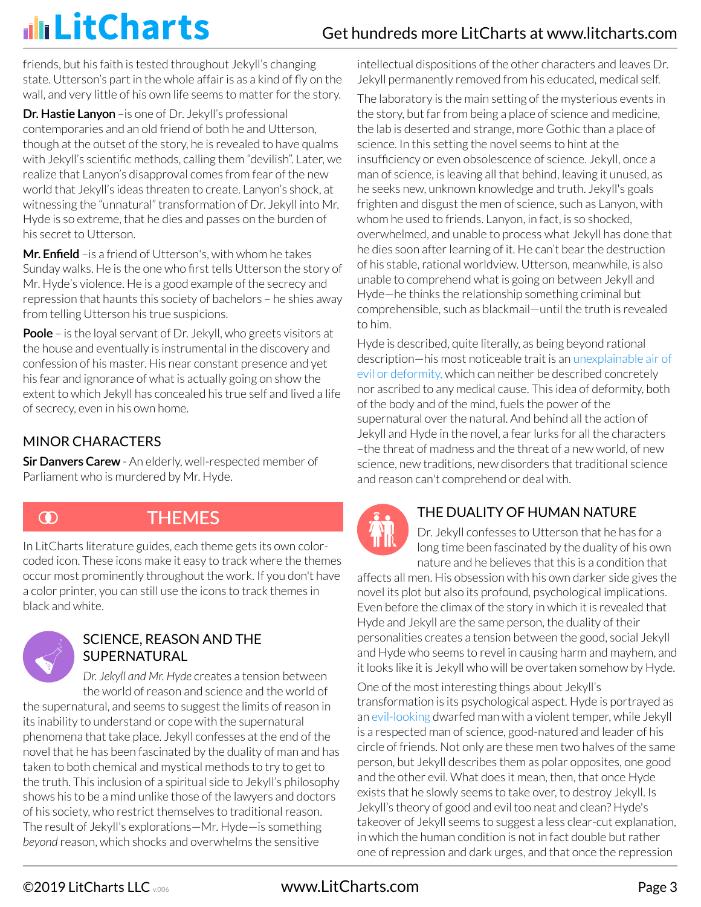friends, but his faith is tested throughout Jekyll's changing state. Utterson's part in the whole affair is as a kind of fly on the wall, and very little of his own life seems to matter for the story.

Dr. Hastie Lanyon – is one of Dr. Jekyll's professional contemporaries and an old friend of both he and Utterson, though at the outset of the story, he is revealed to have qualms with Jekyll's scientific methods, calling them "devilish". Later, we realize that Lanyon's disapproval comes from fear of the new world that Jekyll's ideas threaten to create. Lanyon's shock, at witnessing the "unnatural" transformation of Dr. Jekyll into Mr. Hyde is so extreme, that he dies and passes on the burden of his secret to Utterson.

Mr. Enfield – is a friend of Utterson's, with whom he takes Sunday walks. He is the one who first tells Utterson the story of Mr. Hyde's violence. He is a good example of the secrecy and repression that haunts this society of bachelors – he shies away from telling Utterson his true suspicions.

Poole – is the loyal servant of Dr. Jekyll, who greets visitors at the house and eventually is instrumental in the discovery and confession of his master. His near constant presence and yet his fear and ignorance of what is actually going on show the extent to which Jekyll has concealed his true self and lived a life of secrecy, even in his own home.

### MINOR CHARACTERS

**Sir Danvers Carew** - An elderly, well-respected member of Parliament who is murdered by Mr. Hyde.

 $\odot$ 

# **THEMES**

In LitCharts literature guides, each theme gets its own colorcoded icon. These icons make it easy to track where the themes occur most prominently throughout the work. If you don't have a color printer, you can still use the icons to track themes in black and white.



#### SCIENCE, REASON AND THE SUPERNATURAL

*Dr. Jekyll and Mr. Hyde* creates a tension between the world of reason and science and the world of the supernatural, and seems to suggest the limits of reason in its inability to understand or cope with the supernatural phenomena that take place. Jekyll confesses at the end of the novel that he has been fascinated by the duality of man and has taken to both chemical and mystical methods to try to get to the truth. This inclusion of a spiritual side to Jekyll's philosophy shows his to be a mind unlike those of the lawyers and doctors of his society, who restrict themselves to traditional reason. The result of Jekyll's explorations—Mr. Hyde—is something *beyond* reason, which shocks and overwhelms the sensitive

intellectual dispositions of the other characters and leaves Dr. Jekyll permanently removed from his educated, medical self.

The laboratory is the main setting of the mysterious events in the story, but far from being a place of science and medicine, the lab is deserted and strange, more Gothic than a place of science. In this setting the novel seems to hint at the insufficiency or even obsolescence of science. Jekyll, once a man of science, is leaving all that behind, leaving it unused, as he seeks new, unknown knowledge and truth. Jekyll's goals frighten and disgust the men of science, such as Lanyon, with whom he used to friends. Lanyon, in fact, is so shocked, overwhelmed, and unable to process what Jekyll has done that he dies soon after learning of it. He can't bear the destruction of his stable, rational worldview. Utterson, meanwhile, is also unable to comprehend what is going on between Jekyll and Hyde—he thinks the relationship something criminal but comprehensible, such as blackmail—until the truth is revealed to him.

Hyde is described, quite literally, as being beyond rational description—his most noticeable trait is an unexplainable air of evil or deformity, which can neither be described concretely nor ascribed to any medical cause. This idea of deformity, both of the body and of the mind, fuels the power of the supernatural over the natural. And behind all the action of Jekyll and Hyde in the novel, a fear lurks for all the characters –the threat of madness and the threat of a new world, of new science, new traditions, new disorders that traditional science and reason can't comprehend or deal with.

#### THE DUALITY OF HUMAN NATURE

Dr. Jekyll confesses to Utterson that he has for a long time been fascinated by the duality of his own nature and he believes that this is a condition that

affects all men. His obsession with his own darker side gives the novel its plot but also its profound, psychological implications. Even before the climax of the story in which it is revealed that Hyde and Jekyll are the same person, the duality of their personalities creates a tension between the good, social Jekyll and Hyde who seems to revel in causing harm and mayhem, and it looks like it is Jekyll who will be overtaken somehow by Hyde.

One of the most interesting things about Jekyll's transformation is its psychological aspect. Hyde is portrayed as an evil-looking dwarfed man with a violent temper, while Jekyll is a respected man of science, good-natured and leader of his circle of friends. Not only are these men two halves of the same person, but Jekyll describes them as polar opposites, one good and the other evil. What does it mean, then, that once Hyde exists that he slowly seems to take over, to destroy Jekyll. Is Jekyll's theory of good and evil too neat and clean? Hyde's takeover of Jekyll seems to suggest a less clear-cut explanation, in which the human condition is not in fact double but rather one of repression and dark urges, and that once the repression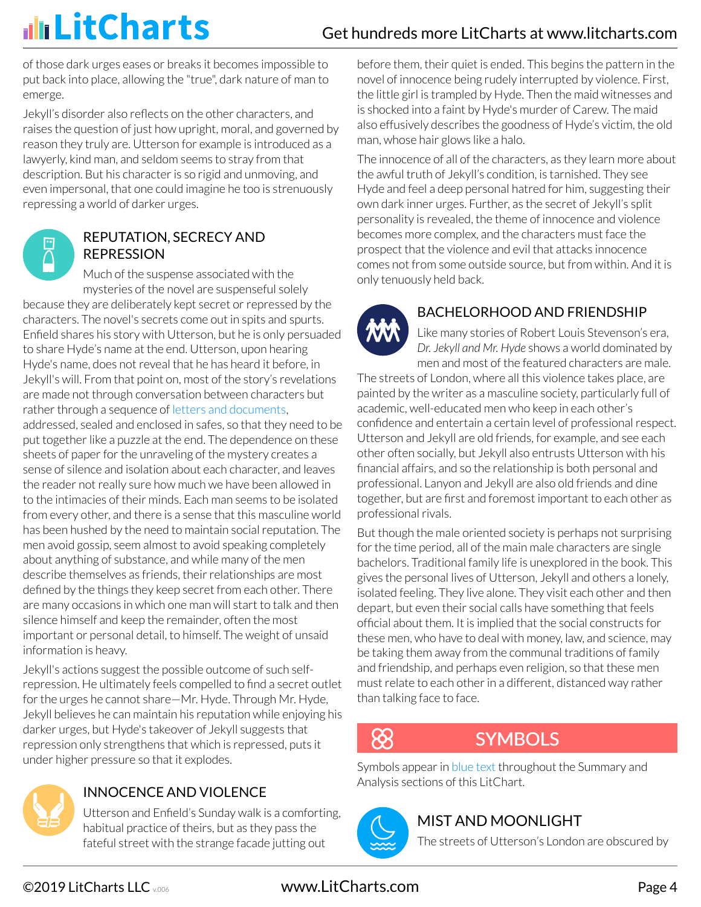of those dark urges eases or breaks it becomes impossible to put back into place, allowing the "true", dark nature of man to emerge.

Jekyll's disorder also reflects on the other characters, and raises the question of just how upright, moral, and governed by reason they truly are. Utterson for example is introduced as a lawyerly, kind man, and seldom seems to stray from that description. But his character is so rigid and unmoving, and even impersonal, that one could imagine he too is strenuously repressing a world of darker urges.



### REPUTATION, SECRECY AND REPRESSION

Much of the suspense associated with the mysteries of the novel are suspenseful solely

because they are deliberately kept secret or repressed by the characters. The novel's secrets come out in spits and spurts. Enfield shares his story with Utterson, but he is only persuaded to share Hyde's name at the end. Utterson, upon hearing Hyde's name, does not reveal that he has heard it before, in Jekyll's will. From that point on, most of the story's revelations are made not through conversation between characters but rather through a sequence of letters and documents, addressed, sealed and enclosed in safes, so that they need to be put together like a puzzle at the end. The dependence on these sheets of paper for the unraveling of the mystery creates a sense of silence and isolation about each character, and leaves the reader not really sure how much we have been allowed in to the intimacies of their minds. Each man seems to be isolated from every other, and there is a sense that this masculine world has been hushed by the need to maintain social reputation. The men avoid gossip, seem almost to avoid speaking completely about anything of substance, and while many of the men describe themselves as friends, their relationships are most defined by the things they keep secret from each other. There are many occasions in which one man will start to talk and then silence himself and keep the remainder, often the most important or personal detail, to himself. The weight of unsaid information is heavy.

Jekyll's actions suggest the possible outcome of such selfrepression. He ultimately feels compelled to find a secret outlet for the urges he cannot share—Mr. Hyde. Through Mr. Hyde, Jekyll believes he can maintain his reputation while enjoying his darker urges, but Hyde's takeover of Jekyll suggests that repression only strengthens that which is repressed, puts it under higher pressure so that it explodes.



### INNOCENCE AND VIOLENCE

Utterson and Enfield's Sunday walk is a comforting, habitual practice of theirs, but as they pass the fateful street with the strange facade jutting out

before them, their quiet is ended. This begins the pattern in the novel of innocence being rudely interrupted by violence. First, the little girl is trampled by Hyde. Then the maid witnesses and is shocked into a faint by Hyde's murder of Carew. The maid also effusively describes the goodness of Hyde's victim, the old man, whose hair glows like a halo.

The innocence of all of the characters, as they learn more about the awful truth of Jekyll's condition, is tarnished. They see Hyde and feel a deep personal hatred for him, suggesting their own dark inner urges. Further, as the secret of Jekyll's split personality is revealed, the theme of innocence and violence becomes more complex, and the characters must face the prospect that the violence and evil that attacks innocence comes not from some outside source, but from within. And it is only tenuously held back.



### BACHELORHOOD AND FRIENDSHIP

Like many stories of Robert Louis Stevenson's era, *Dr. Jekyll and Mr. Hyde* shows a world dominated by men and most of the featured characters are male.

The streets of London, where all this violence takes place, are painted by the writer as a masculine society, particularly full of academic, well-educated men who keep in each other's confidence and entertain a certain level of professional respect. Utterson and Jekyll are old friends, for example, and see each other often socially, but Jekyll also entrusts Utterson with his financial affairs, and so the relationship is both personal and professional. Lanyon and Jekyll are also old friends and dine together, but are first and foremost important to each other as professional rivals.

But though the male oriented society is perhaps not surprising for the time period, all of the main male characters are single bachelors. Traditional family life is unexplored in the book. This gives the personal lives of Utterson, Jekyll and others a lonely, isolated feeling. They live alone. They visit each other and then depart, but even their social calls have something that feels official about them. It is implied that the social constructs for these men, who have to deal with money, law, and science, may be taking them away from the communal traditions of family and friendship, and perhaps even religion, so that these men must relate to each other in a different, distanced way rather than talking face to face.

# $8\!\!\!.8$

# **SYMBOLS**

Symbols appear in blue text throughout the Summary and Analysis sections of this LitChart.



### MIST AND MOONLIGHT

The streets of Utterson's London are obscured by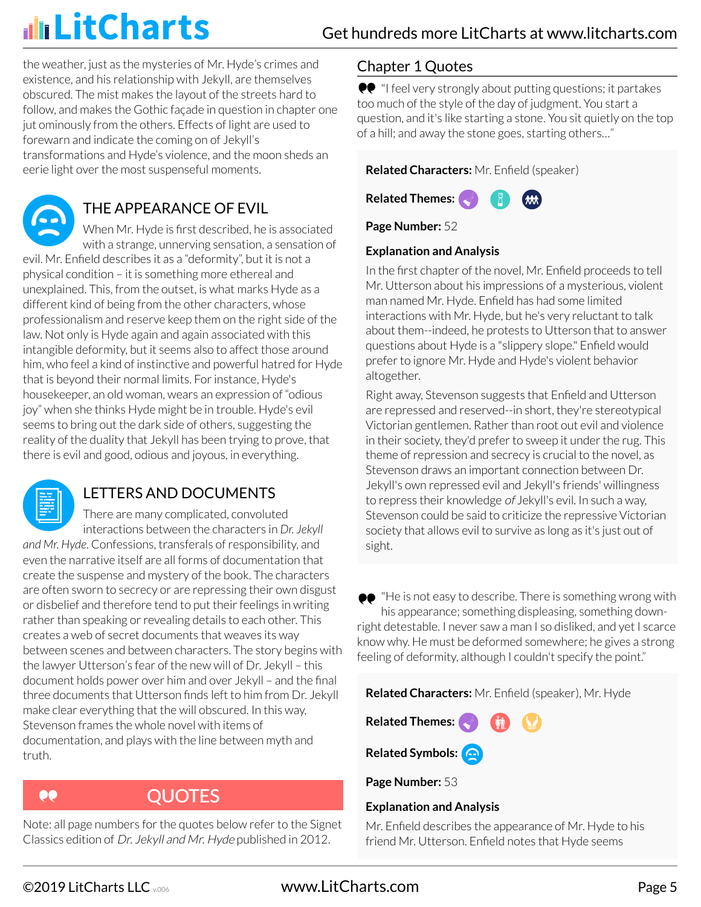the weather, just as the mysteries of Mr. Hyde's crimes and existence, and his relationship with Jekyll, are themselves obscured. The mist makes the layout of the streets hard to follow, and makes the Gothic façade in question in chapter one jut ominously from the others. Effects of light are used to forewarn and indicate the coming on of Jekyll's transformations and Hyde's violence, and the moon sheds an eerie light over the most suspenseful moments.

# THE APPEARANCE OF EVIL

When Mr. Hyde is first described, he is associated with a strange, unnerving sensation, a sensation of evil. Mr. Enfield describes it as a "deformity", but it is not a physical condition – it is something more ethereal and unexplained. This, from the outset, is what marks Hyde as a different kind of being from the other characters, whose professionalism and reserve keep them on the right side of the law. Not only is Hyde again and again associated with this intangible deformity, but it seems also to affect those around him, who feel a kind of instinctive and powerful hatred for Hyde that is beyond their normal limits. For instance, Hyde's housekeeper, an old woman, wears an expression of "odious joy" when she thinks Hyde might be in trouble. Hyde's evil seems to bring out the dark side of others, suggesting the reality of the duality that Jekyll has been trying to prove, that there is evil and good, odious and joyous, in everything.



### LETTERS AND DOCUMENTS

There are many complicated, convoluted interactions between the characters in *Dr. Jekyll and Mr. Hyde*. Confessions, transferals of responsibility, and even the narrative itself are all forms of documentation that create the suspense and mystery of the book. The characters are often sworn to secrecy or are repressing their own disgust or disbelief and therefore tend to put their feelings in writing rather than speaking or revealing details to each other. This creates a web of secret documents that weaves its way between scenes and between characters. The story begins with the lawyer Utterson's fear of the new will of Dr. Jekyll – this document holds power over him and over Jekyll – and the final three documents that Utterson finds left to him from Dr. Jekyll make clear everything that the will obscured. In this way, Stevenson frames the whole novel with items of documentation, and plays with the line between myth and truth.



# **QUOTES**

Note: all page numbers for the quotes below refer to the Signet Classics edition of Dr. Jekyll and Mr. Hyde published in 2012.

### Chapter 1 Quotes

●● "I feel very strongly about putting questions; it partakes too much of the style of the day of judgment. You start a question, and it's like starting a stone. You sit quietly on the top of a hill; and away the stone goes, starting others…"

**Related Characters:** Mr. Enfield (speaker)



**Page Number:** 52

#### **Explanation and Analysis**

In the first chapter of the novel, Mr. Enfield proceeds to tell Mr. Utterson about his impressions of a mysterious, violent man named Mr. Hyde. Enfield has had some limited interactions with Mr. Hyde, but he's very reluctant to talk about them--indeed, he protests to Utterson that to answer questions about Hyde is a "slippery slope." Enfield would prefer to ignore Mr. Hyde and Hyde's violent behavior altogether.

Right away, Stevenson suggests that Enfield and Utterson are repressed and reserved--in short, they're stereotypical Victorian gentlemen. Rather than root out evil and violence in their society, they'd prefer to sweep it under the rug. This theme of repression and secrecy is crucial to the novel, as Stevenson draws an important connection between Dr. Jekyll's own repressed evil and Jekyll's friends' willingness to repress their knowledge of Jekyll's evil. In such a way, Stevenson could be said to criticize the repressive Victorian society that allows evil to survive as long as it's just out of sight.

●● "He is not easy to describe. There is something wrong with his appearance; something displeasing, something downright detestable. I never saw a man I so disliked, and yet I scarce know why. He must be deformed somewhere; he gives a strong feeling of deformity, although I couldn't specify the point."

**Related Characters:** Mr. Enfield (speaker), Mr. Hyde

**Related Themes:**

**Related Symbols:**

**Page Number:** 53

#### **Explanation and Analysis**

Mr. Enfield describes the appearance of Mr. Hyde to his friend Mr. Utterson. Enfield notes that Hyde seems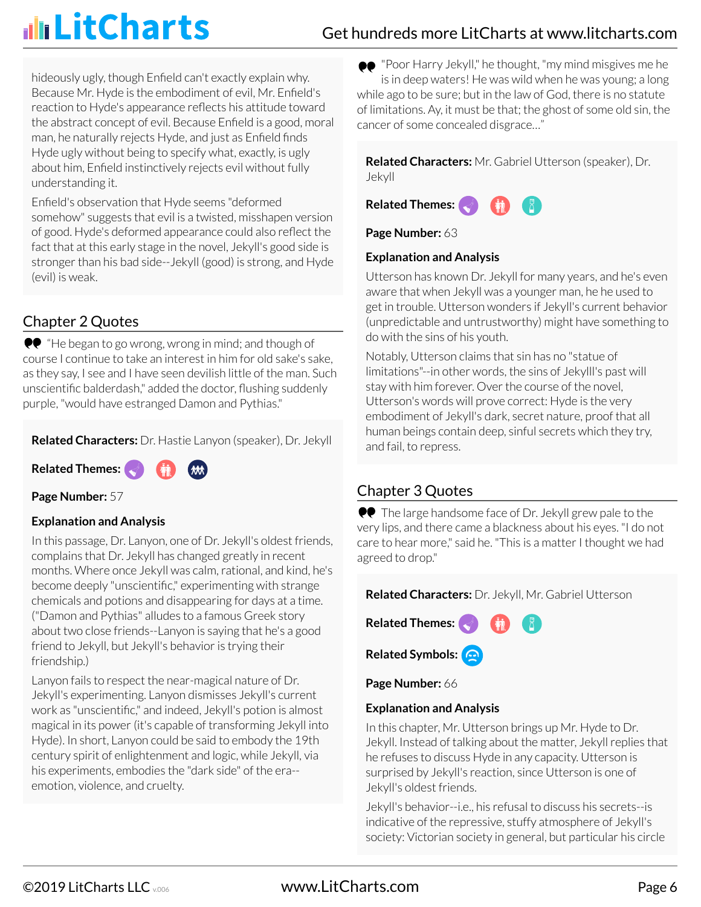hideously ugly, though Enfield can't exactly explain why. Because Mr. Hyde is the embodiment of evil, Mr. Enfield's reaction to Hyde's appearance reflects his attitude toward the abstract concept of evil. Because Enfield is a good, moral man, he naturally rejects Hyde, and just as Enfield finds Hyde ugly without being to specify what, exactly, is ugly about him, Enfield instinctively rejects evil without fully understanding it.

Enfield's observation that Hyde seems "deformed somehow" suggests that evil is a twisted, misshapen version of good. Hyde's deformed appearance could also reflect the fact that at this early stage in the novel, Jekyll's good side is stronger than his bad side--Jekyll (good) is strong, and Hyde (evil) is weak.

### Chapter 2 Quotes

**••** "He began to go wrong, wrong in mind; and though of course I continue to take an interest in him for old sake's sake, as they say, I see and I have seen devilish little of the man. Such unscientific balderdash," added the doctor, flushing suddenly purple, "would have estranged Damon and Pythias."

**Related Characters:** Dr. Hastie Lanyon (speaker), Dr. Jekyll

**Related Themes:**

**Page Number:** 57

#### **Explanation and Analysis**

In this passage, Dr. Lanyon, one of Dr. Jekyll's oldest friends, complains that Dr. Jekyll has changed greatly in recent months. Where once Jekyll was calm, rational, and kind, he's become deeply "unscientific," experimenting with strange chemicals and potions and disappearing for days at a time. ("Damon and Pythias" alludes to a famous Greek story about two close friends--Lanyon is saying that he's a good friend to Jekyll, but Jekyll's behavior is trying their friendship.)

Lanyon fails to respect the near-magical nature of Dr. Jekyll's experimenting. Lanyon dismisses Jekyll's current work as "unscientific," and indeed, Jekyll's potion is almost magical in its power (it's capable of transforming Jekyll into Hyde). In short, Lanyon could be said to embody the 19th century spirit of enlightenment and logic, while Jekyll, via his experiments, embodies the "dark side" of the era- emotion, violence, and cruelty.

"Poor Harry Jekyll," he thought, "my mind misgives me he is in deep waters! He was wild when he was young; a long while ago to be sure; but in the law of God, there is no statute of limitations. Ay, it must be that; the ghost of some old sin, the cancer of some concealed disgrace…"

**Related Characters:** Mr. Gabriel Utterson (speaker), Dr. Jekyll



**Page Number:** 63

#### **Explanation and Analysis**

Utterson has known Dr. Jekyll for many years, and he's even aware that when Jekyll was a younger man, he he used to get in trouble. Utterson wonders if Jekyll's current behavior (unpredictable and untrustworthy) might have something to do with the sins of his youth.

Notably, Utterson claims that sin has no "statue of limitations"--in other words, the sins of Jekylll's past will stay with him forever. Over the course of the novel, Utterson's words will prove correct: Hyde is the very embodiment of Jekyll's dark, secret nature, proof that all human beings contain deep, sinful secrets which they try, and fail, to repress.

### Chapter 3 Quotes

●● The large handsome face of Dr. Jekyll grew pale to the very lips, and there came a blackness about his eyes. "I do not care to hear more," said he. "This is a matter I thought we had agreed to drop."

**Related Characters:** Dr. Jekyll, Mr. Gabriel Utterson



**Page Number:** 66

#### **Explanation and Analysis**

In this chapter, Mr. Utterson brings up Mr. Hyde to Dr. Jekyll. Instead of talking about the matter, Jekyll replies that he refuses to discuss Hyde in any capacity. Utterson is surprised by Jekyll's reaction, since Utterson is one of Jekyll's oldest friends.

Jekyll's behavior--i.e., his refusal to discuss his secrets--is indicative of the repressive, stuffy atmosphere of Jekyll's society: Victorian society in general, but particular his circle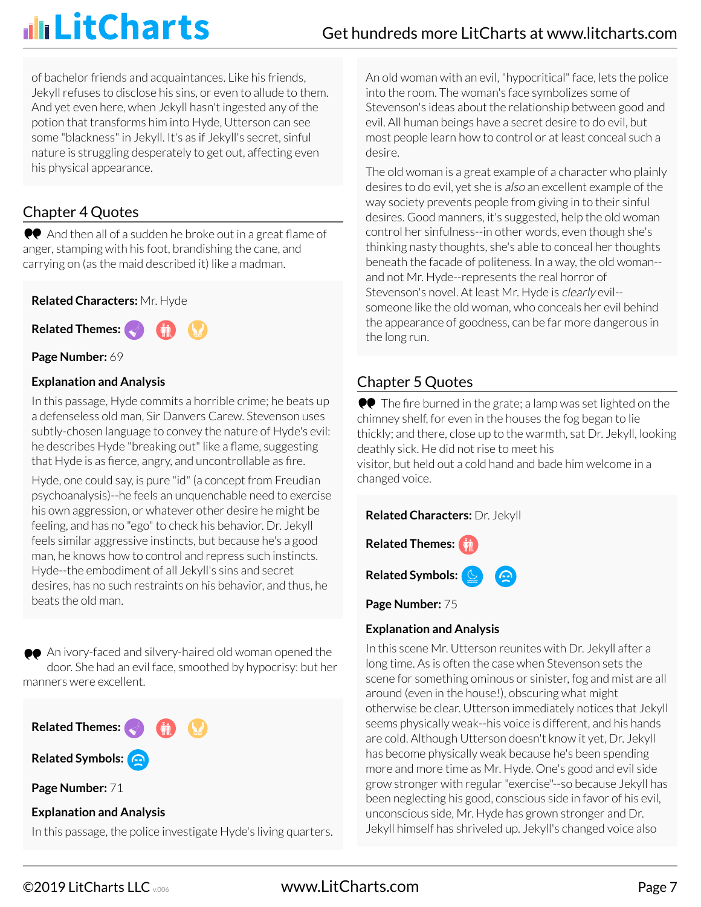of bachelor friends and acquaintances. Like his friends, Jekyll refuses to disclose his sins, or even to allude to them. And yet even here, when Jekyll hasn't ingested any of the potion that transforms him into Hyde, Utterson can see some "blackness" in Jekyll. It's as if Jekyll's secret, sinful nature is struggling desperately to get out, affecting even his physical appearance.

### Chapter 4 Quotes

And then all of a sudden he broke out in a great flame of anger, stamping with his foot, brandishing the cane, and carrying on (as the maid described it) like a madman.

#### **Related Characters:** Mr. Hyde

**Related Themes:**

#### **Page Number:** 69

#### **Explanation and Analysis**

In this passage, Hyde commits a horrible crime; he beats up a defenseless old man, Sir Danvers Carew. Stevenson uses subtly-chosen language to convey the nature of Hyde's evil: he describes Hyde "breaking out" like a flame, suggesting that Hyde is as fierce, angry, and uncontrollable as fire.

Hyde, one could say, is pure "id" (a concept from Freudian psychoanalysis)--he feels an unquenchable need to exercise his own aggression, or whatever other desire he might be feeling, and has no "ego" to check his behavior. Dr. Jekyll feels similar aggressive instincts, but because he's a good man, he knows how to control and repress such instincts. Hyde--the embodiment of all Jekyll's sins and secret desires, has no such restraints on his behavior, and thus, he beats the old man.

An ivory-faced and silvery-haired old woman opened the door. She had an evil face, smoothed by hypocrisy: but her manners were excellent.



In this passage, the police investigate Hyde's living quarters.

An old woman with an evil, "hypocritical" face, lets the police into the room. The woman's face symbolizes some of Stevenson's ideas about the relationship between good and evil. All human beings have a secret desire to do evil, but most people learn how to control or at least conceal such a desire.

The old woman is a great example of a character who plainly desires to do evil, yet she is also an excellent example of the way society prevents people from giving in to their sinful desires. Good manners, it's suggested, help the old woman control her sinfulness--in other words, even though she's thinking nasty thoughts, she's able to conceal her thoughts beneath the facade of politeness. In a way, the old woman- and not Mr. Hyde--represents the real horror of Stevenson's novel. At least Mr. Hyde is *clearly* evil-someone like the old woman, who conceals her evil behind the appearance of goodness, can be far more dangerous in the long run.

### Chapter 5 Quotes

 $\bullet\bullet$  The fire burned in the grate; a lamp was set lighted on the chimney shelf, for even in the houses the fog began to lie thickly; and there, close up to the warmth, sat Dr. Jekyll, looking deathly sick. He did not rise to meet his

visitor, but held out a cold hand and bade him welcome in a changed voice.

**Related Characters:** Dr. Jekyll





**Page Number:** 75

#### **Explanation and Analysis**

In this scene Mr. Utterson reunites with Dr. Jekyll after a long time. As is often the case when Stevenson sets the scene for something ominous or sinister, fog and mist are all around (even in the house!), obscuring what might otherwise be clear. Utterson immediately notices that Jekyll seems physically weak--his voice is different, and his hands are cold. Although Utterson doesn't know it yet, Dr. Jekyll has become physically weak because he's been spending more and more time as Mr. Hyde. One's good and evil side grow stronger with regular "exercise"--so because Jekyll has been neglecting his good, conscious side in favor of his evil, unconscious side, Mr. Hyde has grown stronger and Dr. Jekyll himself has shriveled up. Jekyll's changed voice also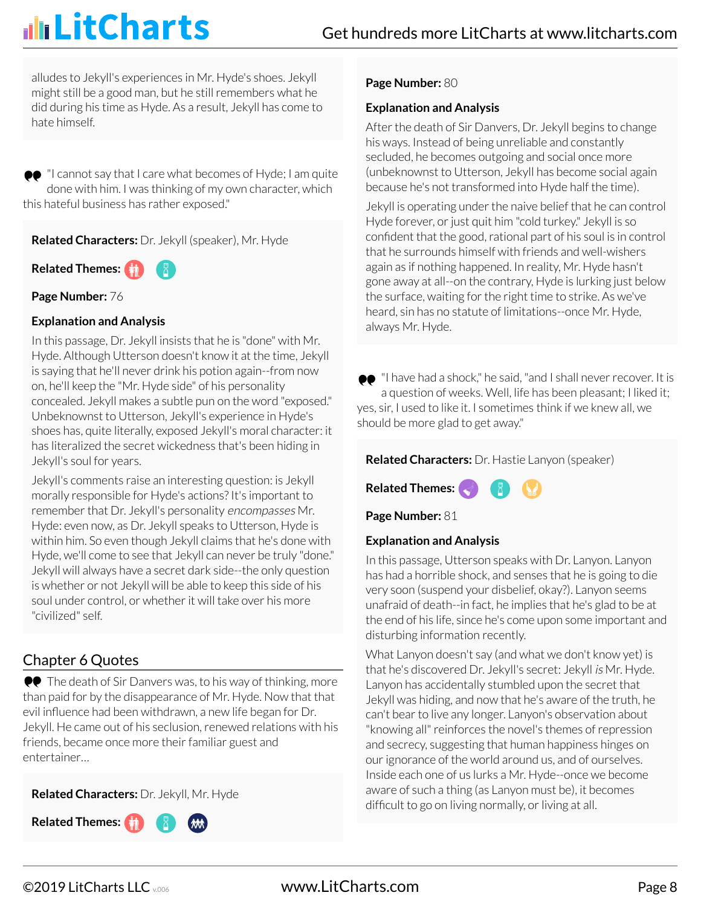alludes to Jekyll's experiences in Mr. Hyde's shoes. Jekyll might still be a good man, but he still remembers what he did during his time as Hyde. As a result, Jekyll has come to hate himself.

 $\bullet\bullet$  "I cannot say that I care what becomes of Hyde; I am quite done with him. I was thinking of my own character, which this hateful business has rather exposed."

**Related Characters:** Dr. Jekyll (speaker), Mr. Hyde

**Related Themes:**

**Page Number:** 76

#### **Explanation and Analysis**

In this passage, Dr. Jekyll insists that he is "done" with Mr. Hyde. Although Utterson doesn't know it at the time, Jekyll is saying that he'll never drink his potion again--from now on, he'll keep the "Mr. Hyde side" of his personality concealed. Jekyll makes a subtle pun on the word "exposed." Unbeknownst to Utterson, Jekyll's experience in Hyde's shoes has, quite literally, exposed Jekyll's moral character: it has literalized the secret wickedness that's been hiding in Jekyll's soul for years.

Jekyll's comments raise an interesting question: is Jekyll morally responsible for Hyde's actions? It's important to remember that Dr. Jekyll's personality encompasses Mr. Hyde: even now, as Dr. Jekyll speaks to Utterson, Hyde is within him. So even though Jekyll claims that he's done with Hyde, we'll come to see that Jekyll can never be truly "done." Jekyll will always have a secret dark side--the only question is whether or not Jekyll will be able to keep this side of his soul under control, or whether it will take over his more "civilized" self.

### Chapter 6 Quotes

 $\bullet\bullet$  The death of Sir Danvers was, to his way of thinking, more than paid for by the disappearance of Mr. Hyde. Now that that evil influence had been withdrawn, a new life began for Dr. Jekyll. He came out of his seclusion, renewed relations with his friends, became once more their familiar guest and entertainer…

**Related Characters:** Dr. Jekyll, Mr. Hyde



#### **Page Number:** 80

#### **Explanation and Analysis**

After the death of Sir Danvers, Dr. Jekyll begins to change his ways. Instead of being unreliable and constantly secluded, he becomes outgoing and social once more (unbeknownst to Utterson, Jekyll has become social again because he's not transformed into Hyde half the time).

Jekyll is operating under the naive belief that he can control Hyde forever, or just quit him "cold turkey." Jekyll is so confident that the good, rational part of his soul is in control that he surrounds himself with friends and well-wishers again as if nothing happened. In reality, Mr. Hyde hasn't gone away at all--on the contrary, Hyde is lurking just below the surface, waiting for the right time to strike. As we've heard, sin has no statute of limitations--once Mr. Hyde, always Mr. Hyde.

 $\bullet\bullet$  "I have had a shock," he said, "and I shall never recover. It is a question of weeks. Well, life has been pleasant; I liked it; yes, sir, I used to like it. I sometimes think if we knew all, we should be more glad to get away."

**Related Characters:** Dr. Hastie Lanyon (speaker)



**Page Number:** 81

#### **Explanation and Analysis**

In this passage, Utterson speaks with Dr. Lanyon. Lanyon has had a horrible shock, and senses that he is going to die very soon (suspend your disbelief, okay?). Lanyon seems unafraid of death--in fact, he implies that he's glad to be at the end of his life, since he's come upon some important and disturbing information recently.

What Lanyon doesn't say (and what we don't know yet) is that he's discovered Dr. Jekyll's secret: Jekyll is Mr. Hyde. Lanyon has accidentally stumbled upon the secret that Jekyll was hiding, and now that he's aware of the truth, he can't bear to live any longer. Lanyon's observation about "knowing all" reinforces the novel's themes of repression and secrecy, suggesting that human happiness hinges on our ignorance of the world around us, and of ourselves. Inside each one of us lurks a Mr. Hyde--once we become aware of such a thing (as Lanyon must be), it becomes difficult to go on living normally, or living at all.

©2019 LitCharts LLC v.006 www.LitCharts.com Page 8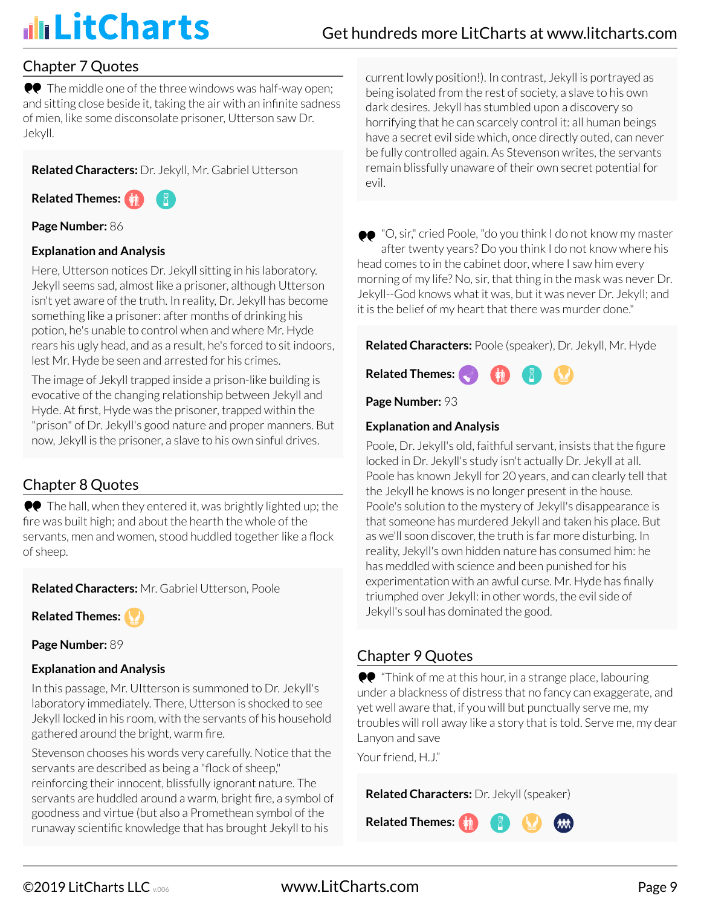### Chapter 7 Quotes

**••** The middle one of the three windows was half-way open; and sitting close beside it, taking the air with an infinite sadness of mien, like some disconsolate prisoner, Utterson saw Dr. Jekyll.

**Related Characters:** Dr. Jekyll, Mr. Gabriel Utterson

**Related Themes:**

#### **Page Number:** 86

#### **Explanation and Analysis**

Here, Utterson notices Dr. Jekyll sitting in his laboratory. Jekyll seems sad, almost like a prisoner, although Utterson isn't yet aware of the truth. In reality, Dr. Jekyll has become something like a prisoner: after months of drinking his potion, he's unable to control when and where Mr. Hyde rears his ugly head, and as a result, he's forced to sit indoors, lest Mr. Hyde be seen and arrested for his crimes.

The image of Jekyll trapped inside a prison-like building is evocative of the changing relationship between Jekyll and Hyde. At first, Hyde was the prisoner, trapped within the "prison" of Dr. Jekyll's good nature and proper manners. But now, Jekyll is the prisoner, a slave to his own sinful drives.

### Chapter 8 Quotes

 $\bullet\bullet$  The hall, when they entered it, was brightly lighted up; the fire was built high; and about the hearth the whole of the servants, men and women, stood huddled together like a flock of sheep.

**Related Characters:** Mr. Gabriel Utterson, Poole

**Related Themes:**

**Page Number:** 89

#### **Explanation and Analysis**

In this passage, Mr. UItterson is summoned to Dr. Jekyll's laboratory immediately. There, Utterson is shocked to see Jekyll locked in his room, with the servants of his household gathered around the bright, warm fire.

Stevenson chooses his words very carefully. Notice that the servants are described as being a "flock of sheep," reinforcing their innocent, blissfully ignorant nature. The servants are huddled around a warm, bright fire, a symbol of goodness and virtue (but also a Promethean symbol of the runaway scientific knowledge that has brought Jekyll to his

current lowly position!). In contrast, Jekyll is portrayed as being isolated from the rest of society, a slave to his own dark desires. Jekyll has stumbled upon a discovery so horrifying that he can scarcely control it: all human beings have a secret evil side which, once directly outed, can never be fully controlled again. As Stevenson writes, the servants remain blissfully unaware of their own secret potential for evil.

"O, sir," cried Poole, "do you think I do not know my master after twenty years? Do you think I do not know where his head comes to in the cabinet door, where I saw him every morning of my life? No, sir, that thing in the mask was never Dr. Jekyll--God knows what it was, but it was never Dr. Jekyll; and it is the belief of my heart that there was murder done."

**Related Characters:** Poole (speaker), Dr. Jekyll, Mr. Hyde



**Page Number:** 93

#### **Explanation and Analysis**

Poole, Dr. Jekyll's old, faithful servant, insists that the figure locked in Dr. Jekyll's study isn't actually Dr. Jekyll at all. Poole has known Jekyll for 20 years, and can clearly tell that the Jekyll he knows is no longer present in the house. Poole's solution to the mystery of Jekyll's disappearance is that someone has murdered Jekyll and taken his place. But as we'll soon discover, the truth is far more disturbing. In reality, Jekyll's own hidden nature has consumed him: he has meddled with science and been punished for his experimentation with an awful curse. Mr. Hyde has finally triumphed over Jekyll: in other words, the evil side of Jekyll's soul has dominated the good.

### Chapter 9 Quotes

 $\bullet\bullet$  "Think of me at this hour, in a strange place, labouring under a blackness of distress that no fancy can exaggerate, and yet well aware that, if you will but punctually serve me, my troubles will roll away like a story that is told. Serve me, my dear Lanyon and save

Your friend, H.J."

**Related Characters:** Dr. Jekyll (speaker)

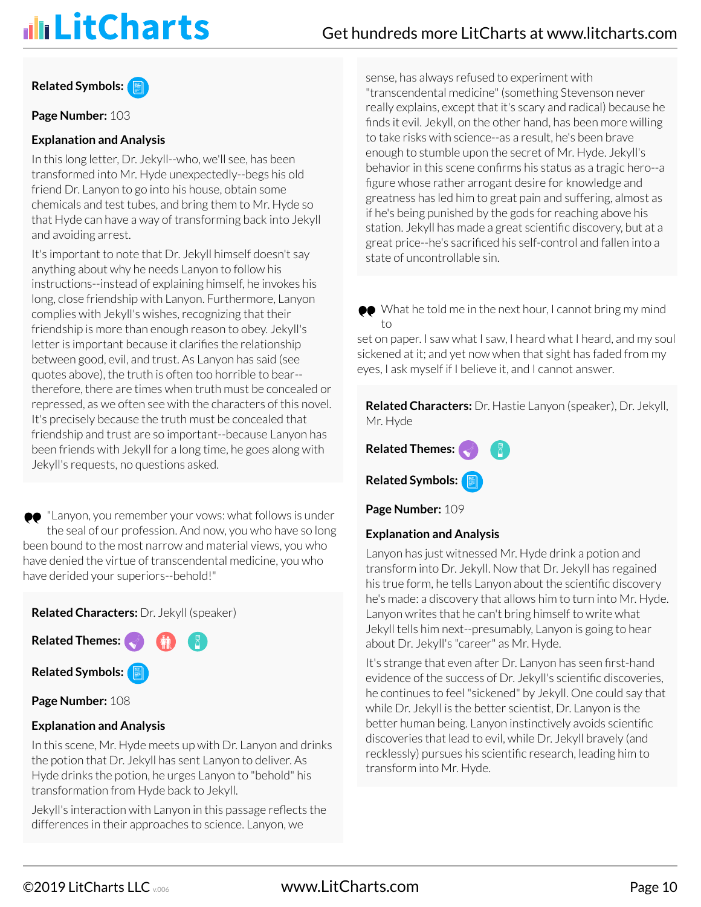#### **Related Symbols:**

**Page Number:** 103

#### **Explanation and Analysis**

In this long letter, Dr. Jekyll--who, we'll see, has been transformed into Mr. Hyde unexpectedly--begs his old friend Dr. Lanyon to go into his house, obtain some chemicals and test tubes, and bring them to Mr. Hyde so that Hyde can have a way of transforming back into Jekyll and avoiding arrest.

It's important to note that Dr. Jekyll himself doesn't say anything about why he needs Lanyon to follow his instructions--instead of explaining himself, he invokes his long, close friendship with Lanyon. Furthermore, Lanyon complies with Jekyll's wishes, recognizing that their friendship is more than enough reason to obey. Jekyll's letter is important because it clarifies the relationship between good, evil, and trust. As Lanyon has said (see quotes above), the truth is often too horrible to bear- therefore, there are times when truth must be concealed or repressed, as we often see with the characters of this novel. It's precisely because the truth must be concealed that friendship and trust are so important--because Lanyon has been friends with Jekyll for a long time, he goes along with Jekyll's requests, no questions asked.

●● "Lanyon, you remember your vows: what follows is under the seal of our profession. And now, you who have so long been bound to the most narrow and material views, you who have denied the virtue of transcendental medicine, you who have derided your superiors--behold!"

**Related Characters:** Dr. Jekyll (speaker)

**Related Themes: Related Symbols:**

**Page Number:** 108

#### **Explanation and Analysis**

In this scene, Mr. Hyde meets up with Dr. Lanyon and drinks the potion that Dr. Jekyll has sent Lanyon to deliver. As Hyde drinks the potion, he urges Lanyon to "behold" his transformation from Hyde back to Jekyll.

Jekyll's interaction with Lanyon in this passage reflects the differences in their approaches to science. Lanyon, we

sense, has always refused to experiment with "transcendental medicine" (something Stevenson never really explains, except that it's scary and radical) because he finds it evil. Jekyll, on the other hand, has been more willing to take risks with science--as a result, he's been brave enough to stumble upon the secret of Mr. Hyde. Jekyll's behavior in this scene confirms his status as a tragic hero--a figure whose rather arrogant desire for knowledge and greatness has led him to great pain and suffering, almost as if he's being punished by the gods for reaching above his station. Jekyll has made a great scientific discovery, but at a great price--he's sacrificed his self-control and fallen into a state of uncontrollable sin.

●● What he told me in the next hour, I cannot bring my mind to

set on paper. I saw what I saw, I heard what I heard, and my soul sickened at it; and yet now when that sight has faded from my eyes, I ask myself if I believe it, and I cannot answer.

**Related Characters:** Dr. Hastie Lanyon (speaker), Dr. Jekyll, Mr. Hyde

**Related Themes:**

**Related Symbols:**

**Page Number:** 109

#### **Explanation and Analysis**

Lanyon has just witnessed Mr. Hyde drink a potion and transform into Dr. Jekyll. Now that Dr. Jekyll has regained his true form, he tells Lanyon about the scientific discovery he's made: a discovery that allows him to turn into Mr. Hyde. Lanyon writes that he can't bring himself to write what Jekyll tells him next--presumably, Lanyon is going to hear about Dr. Jekyll's "career" as Mr. Hyde.

It's strange that even after Dr. Lanyon has seen first-hand evidence of the success of Dr. Jekyll's scientific discoveries, he continues to feel "sickened" by Jekyll. One could say that while Dr. Jekyll is the better scientist, Dr. Lanyon is the better human being. Lanyon instinctively avoids scientific discoveries that lead to evil, while Dr. Jekyll bravely (and recklessly) pursues his scientific research, leading him to transform into Mr. Hyde.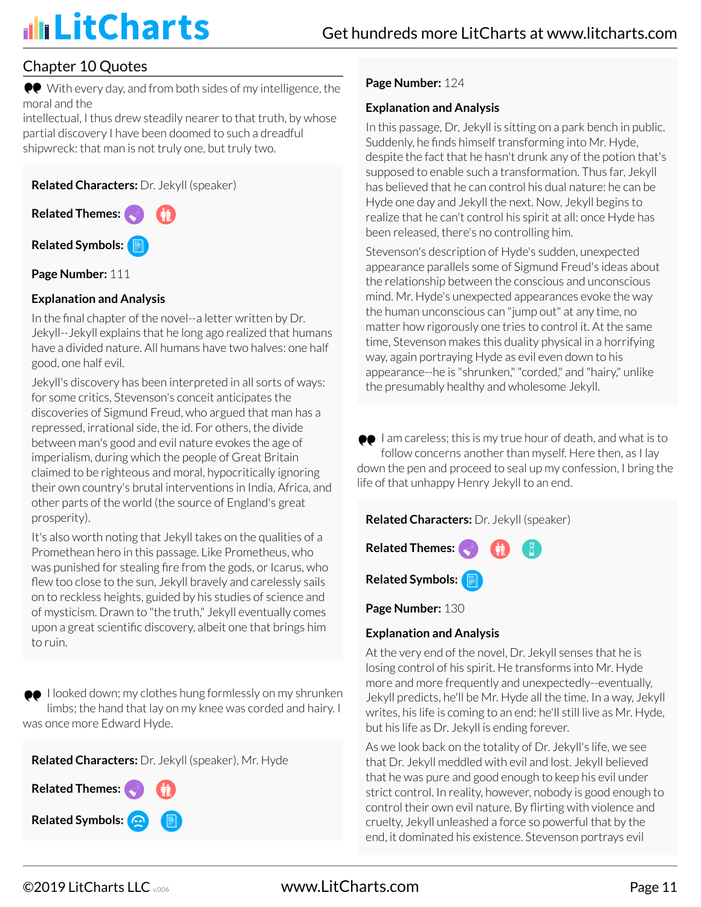### Chapter 10 Quotes

With every day, and from both sides of my intelligence, the moral and the

intellectual, I thus drew steadily nearer to that truth, by whose partial discovery I have been doomed to such a dreadful shipwreck: that man is not truly one, but truly two.

**Related Characters:** Dr. Jekyll (speaker)

**Related Themes: Related Symbols:**

**Page Number: 111** 

#### **Explanation and Analysis**

In the final chapter of the novel--a letter written by Dr. Jekyll--Jekyll explains that he long ago realized that humans have a divided nature. All humans have two halves: one half good, one half evil.

Jekyll's discovery has been interpreted in all sorts of ways: for some critics, Stevenson's conceit anticipates the discoveries of Sigmund Freud, who argued that man has a repressed, irrational side, the id. For others, the divide between man's good and evil nature evokes the age of imperialism, during which the people of Great Britain claimed to be righteous and moral, hypocritically ignoring their own country's brutal interventions in India, Africa, and other parts of the world (the source of England's great prosperity).

It's also worth noting that Jekyll takes on the qualities of a Promethean hero in this passage. Like Prometheus, who was punished for stealing fire from the gods, or Icarus, who flew too close to the sun, Jekyll bravely and carelessly sails on to reckless heights, guided by his studies of science and of mysticism. Drawn to "the truth," Jekyll eventually comes upon a great scientific discovery, albeit one that brings him to ruin.

 $\bullet\bullet$  I looked down; my clothes hung formlessly on my shrunken limbs; the hand that lay on my knee was corded and hairy. I was once more Edward Hyde.

**Related Characters:** Dr. Jekyll (speaker), Mr. Hyde



#### **Page Number:** 124

#### **Explanation and Analysis**

In this passage, Dr, Jekyll is sitting on a park bench in public. Suddenly, he finds himself transforming into Mr. Hyde, despite the fact that he hasn't drunk any of the potion that's supposed to enable such a transformation. Thus far, Jekyll has believed that he can control his dual nature: he can be Hyde one day and Jekyll the next. Now, Jekyll begins to realize that he can't control his spirit at all: once Hyde has been released, there's no controlling him.

Stevenson's description of Hyde's sudden, unexpected appearance parallels some of Sigmund Freud's ideas about the relationship between the conscious and unconscious mind. Mr. Hyde's unexpected appearances evoke the way the human unconscious can "jump out" at any time, no matter how rigorously one tries to control it. At the same time, Stevenson makes this duality physical in a horrifying way, again portraying Hyde as evil even down to his appearance--he is "shrunken," "corded," and "hairy," unlike the presumably healthy and wholesome Jekyll.

 $\bullet\bullet\;$  I am careless; this is my true hour of death, and what is to follow concerns another than myself. Here then, as I lay down the pen and proceed to seal up my confession, I bring the life of that unhappy Henry Jekyll to an end.



**Page Number:** 130

#### **Explanation and Analysis**

At the very end of the novel, Dr. Jekyll senses that he is losing control of his spirit. He transforms into Mr. Hyde more and more frequently and unexpectedly--eventually, Jekyll predicts, he'll be Mr. Hyde all the time. In a way, Jekyll writes, his life is coming to an end: he'll still live as Mr. Hyde, but his life as Dr. Jekyll is ending forever.

As we look back on the totality of Dr. Jekyll's life, we see that Dr. Jekyll meddled with evil and lost. Jekyll believed that he was pure and good enough to keep his evil under strict control. In reality, however, nobody is good enough to control their own evil nature. By flirting with violence and cruelty, Jekyll unleashed a force so powerful that by the end, it dominated his existence. Stevenson portrays evil

©2019 LitCharts LLC v.006 www.LitCharts.com Page 11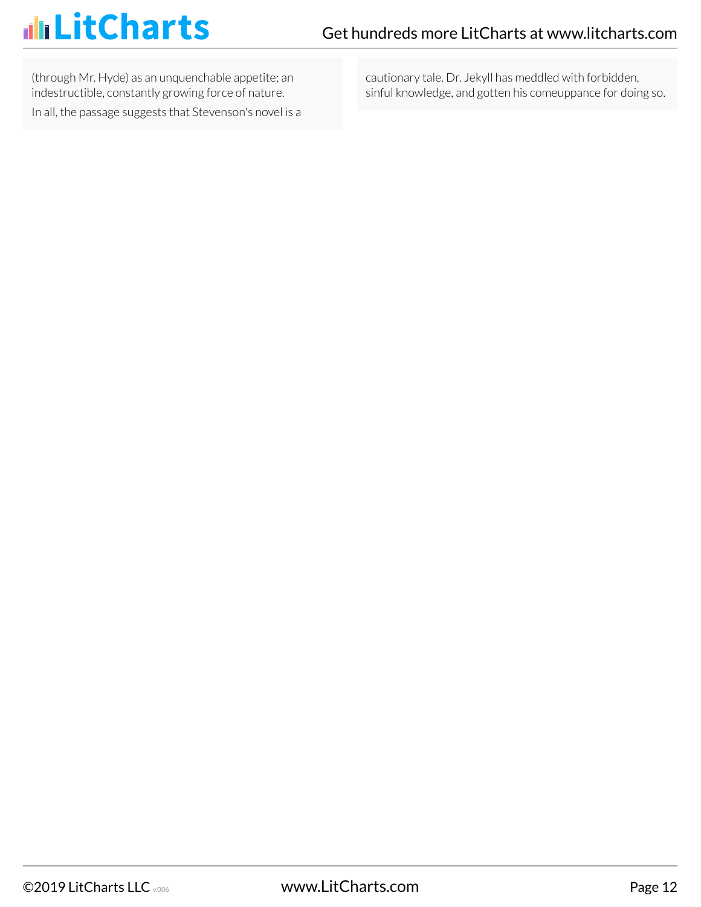# illi LitCharts

(through Mr. Hyde) as an unquenchable appetite; an indestructible, constantly growing force of nature. In all, the passage suggests that Stevenson's novel is a cautionary tale. Dr. Jekyll has meddled with forbidden, sinful knowledge, and gotten his comeuppance for doing so.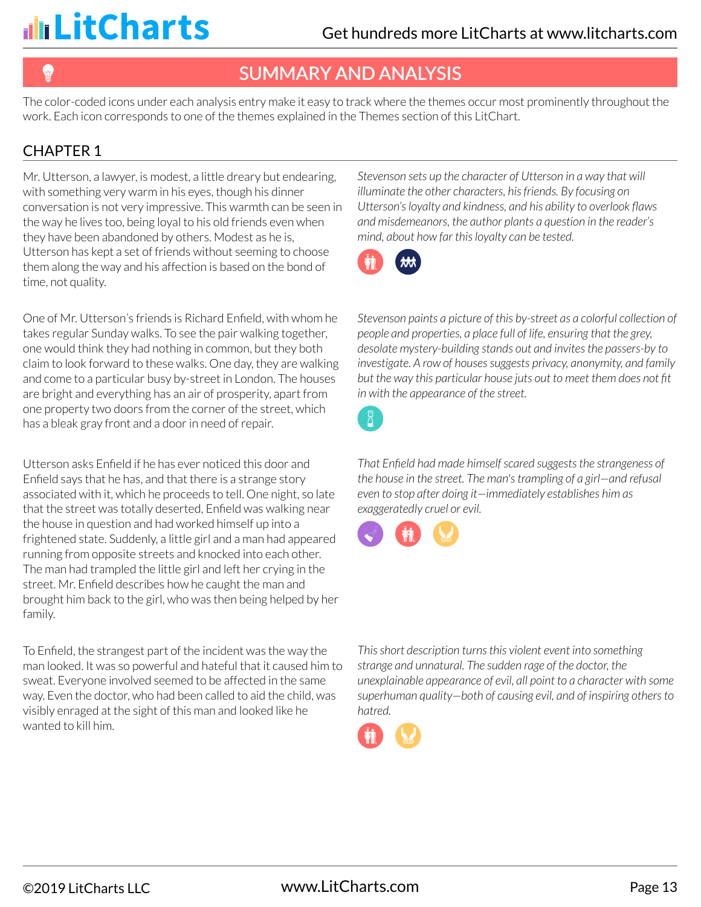# SUMMARY AND ANALYSIS

The color-coded icons under each analysis entry make it easy to track where the themes occur most prominently throughout the work. Each icon corresponds to one of the themes explained in the Themes section of this LitChart.

### CHAPTER 1

Mr. Utterson, a lawyer, is modest, a little dreary but endearing, with something very warm in his eyes, though his dinner conversation is not very impressive. This warmth can be seen in the way he lives too, being loyal to his old friends even when they have been abandoned by others. Modest as he is, Utterson has kept a set of friends without seeming to choose them along the way and his affection is based on the bond of time, not quality.

One of Mr. Utterson's friends is Richard Enfield, with whom he takes regular Sunday walks. To see the pair walking together, one would think they had nothing in common, but they both claim to look forward to these walks. One day, they are walking and come to a particular busy by-street in London. The houses are bright and everything has an air of prosperity, apart from one property two doors from the corner of the street, which has a bleak gray front and a door in need of repair.

Utterson asks Enfield if he has ever noticed this door and Enfield says that he has, and that there is a strange story associated with it, which he proceeds to tell. One night, so late that the street was totally deserted, Enfield was walking near the house in question and had worked himself up into a frightened state. Suddenly, a little girl and a man had appeared running from opposite streets and knocked into each other. The man had trampled the little girl and left her crying in the street. Mr. Enfield describes how he caught the man and brought him back to the girl, who was then being helped by her family.

To Enfield, the strangest part of the incident was the way the man looked. It was so powerful and hateful that it caused him to sweat. Everyone involved seemed to be affected in the same way. Even the doctor, who had been called to aid the child, was visibly enraged at the sight of this man and looked like he wanted to kill him.

*Stevenson sets up the character of Utterson in a way that will illuminate the other characters, his friends. By focusing on Utterson's loyalty and kindness, and his ability to overlook flaws and misdemeanors, the author plants a question in the reader's mind, about how far this loyalty can be tested.*



*Stevenson paints a picture of this by-street as a colorful collection of people and properties, a place full of life, ensuring that the grey, desolate mystery-building stands out and invites the passers-by to investigate. A row of houses suggests privacy, anonymity, and family but the way this particular house juts out to meet them does not fit in with the appearance of the street.*

 $\overline{\mathcal{L}}$ 

*That Enfield had made himself scared suggests the strangeness of the house in the street. The man's trampling of a girl—and refusal even to stop after doing it—immediately establishes him as exaggeratedly cruel or evil.*



*This short description turns this violent event into something strange and unnatural. The sudden rage of the doctor, the unexplainable appearance of evil, all point to a character with some superhuman quality—both of causing evil, and of inspiring others to hatred.*

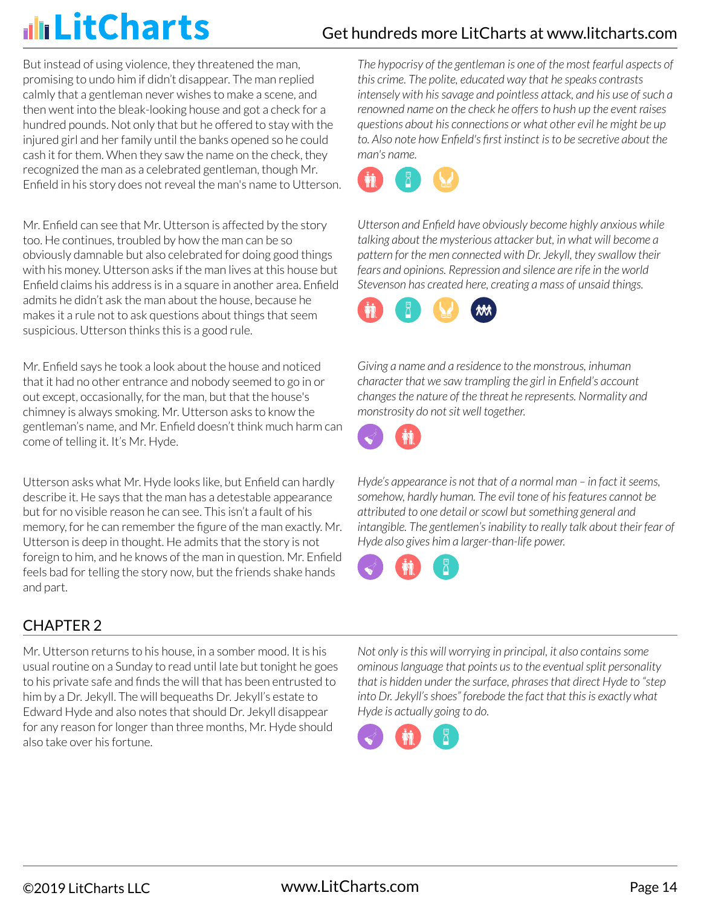But instead of using violence, they threatened the man, promising to undo him if didn't disappear. The man replied calmly that a gentleman never wishes to make a scene, and then went into the bleak-looking house and got a check for a hundred pounds. Not only that but he offered to stay with the injured girl and her family until the banks opened so he could cash it for them. When they saw the name on the check, they recognized the man as a celebrated gentleman, though Mr. Enfield in his story does not reveal the man's name to Utterson.

Mr. Enfield can see that Mr. Utterson is affected by the story too. He continues, troubled by how the man can be so obviously damnable but also celebrated for doing good things with his money. Utterson asks if the man lives at this house but Enfield claims his address is in a square in another area. Enfield admits he didn't ask the man about the house, because he makes it a rule not to ask questions about things that seem suspicious. Utterson thinks this is a good rule.

Mr. Enfield says he took a look about the house and noticed that it had no other entrance and nobody seemed to go in or out except, occasionally, for the man, but that the house's chimney is always smoking. Mr. Utterson asks to know the gentleman's name, and Mr. Enfield doesn't think much harm can come of telling it. It's Mr. Hyde.

Utterson asks what Mr. Hyde looks like, but Enfield can hardly describe it. He says that the man has a detestable appearance but for no visible reason he can see. This isn't a fault of his memory, for he can remember the figure of the man exactly. Mr. Utterson is deep in thought. He admits that the story is not foreign to him, and he knows of the man in question. Mr. Enfield feels bad for telling the story now, but the friends shake hands and part.

### CHAPTER 2

Mr. Utterson returns to his house, in a somber mood. It is his usual routine on a Sunday to read until late but tonight he goes to his private safe and finds the will that has been entrusted to him by a Dr. Jekyll. The will bequeaths Dr. Jekyll's estate to Edward Hyde and also notes that should Dr. Jekyll disappear for any reason for longer than three months, Mr. Hyde should also take over his fortune.

*The hypocrisy of the gentleman is one of the most fearful aspects of this crime. The polite, educated way that he speaks contrasts intensely with his savage and pointless attack, and his use of such a renowned name on the check he offers to hush up the event raises questions about his connections or what other evil he might be up to. Also note how Enfield's first instinct is to be secretive about the man's name.*



*Utterson and Enfield have obviously become highly anxious while talking about the mysterious attacker but, in what will become a pattern for the men connected with Dr. Jekyll, they swallow their fears and opinions. Repression and silence are rife in the world Stevenson has created here, creating a mass of unsaid things.*



*Giving a name and a residence to the monstrous, inhuman character that we saw trampling the girl in Enfield's account changes the nature of the threat he represents. Normality and monstrosity do not sit well together.*



*Hyde's appearance is not that of a normal man – in fact it seems, somehow, hardly human. The evil tone of his features cannot be attributed to one detail or scowl but something general and intangible. The gentlemen's inability to really talk about their fear of Hyde also gives him a larger-than-life power.*



*Not only is this will worrying in principal, it also contains some ominous language that points us to the eventual split personality that is hidden under the surface, phrases that direct Hyde to "step into Dr. Jekyll's shoes" forebode the fact that this is exactly what Hyde is actually going to do.*

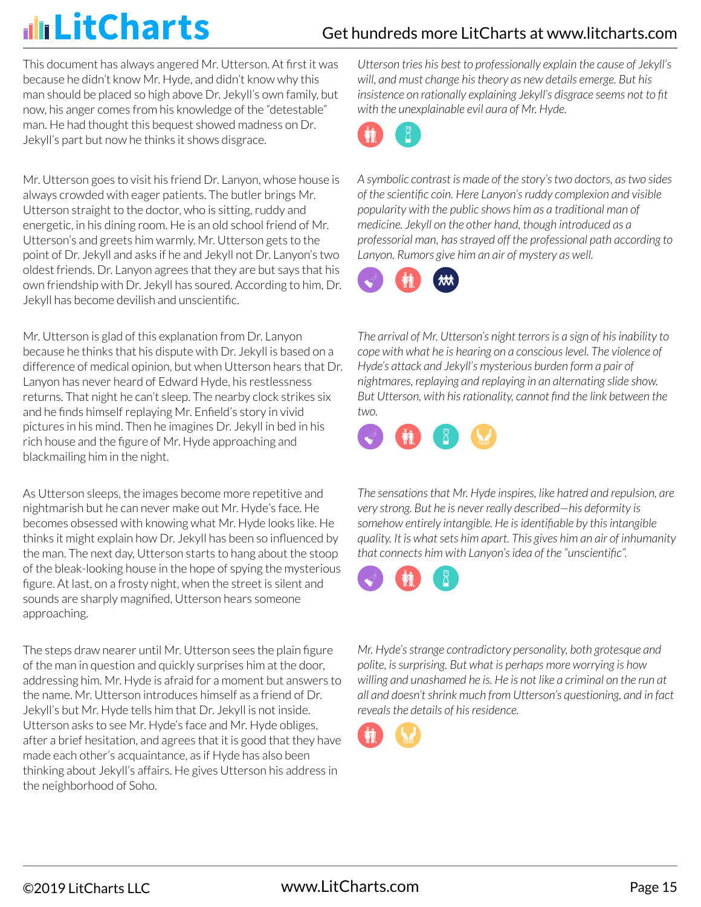### Get hundreds more LitCharts at [www.litcharts.com](https://www.litcharts.com/)

This document has always angered Mr. Utterson. At first it was because he didn't know Mr. Hyde, and didn't know why this man should be placed so high above Dr. Jekyll's own family, but now, his anger comes from his knowledge of the "detestable" man. He had thought this bequest showed madness on Dr. Jekyll's part but now he thinks it shows disgrace.

Mr. Utterson goes to visit his friend Dr. Lanyon, whose house is always crowded with eager patients. The butler brings Mr. Utterson straight to the doctor, who is sitting, ruddy and energetic, in his dining room. He is an old school friend of Mr. Utterson's and greets him warmly. Mr. Utterson gets to the point of Dr. Jekyll and asks if he and Jekyll not Dr. Lanyon's two oldest friends. Dr. Lanyon agrees that they are but says that his own friendship with Dr. Jekyll has soured. According to him, Dr. Jekyll has become devilish and unscientific.

Mr. Utterson is glad of this explanation from Dr. Lanyon because he thinks that his dispute with Dr. Jekyll is based on a difference of medical opinion, but when Utterson hears that Dr. Lanyon has never heard of Edward Hyde, his restlessness returns. That night he can't sleep. The nearby clock strikes six and he finds himself replaying Mr. Enfield's story in vivid pictures in his mind. Then he imagines Dr. Jekyll in bed in his rich house and the figure of Mr. Hyde approaching and blackmailing him in the night.

As Utterson sleeps, the images become more repetitive and nightmarish but he can never make out Mr. Hyde's face. He becomes obsessed with knowing what Mr. Hyde looks like. He thinks it might explain how Dr. Jekyll has been so influenced by the man. The next day, Utterson starts to hang about the stoop of the bleak-looking house in the hope of spying the mysterious figure. At last, on a frosty night, when the street is silent and sounds are sharply magnified, Utterson hears someone approaching.

The steps draw nearer until Mr. Utterson sees the plain figure of the man in question and quickly surprises him at the door, addressing him. Mr. Hyde is afraid for a moment but answers to the name. Mr. Utterson introduces himself as a friend of Dr. Jekyll's but Mr. Hyde tells him that Dr. Jekyll is not inside. Utterson asks to see Mr. Hyde's face and Mr. Hyde obliges, after a brief hesitation, and agrees that it is good that they have made each other's acquaintance, as if Hyde has also been thinking about Jekyll's affairs. He gives Utterson his address in the neighborhood of Soho.

*Utterson tries his best to professionally explain the cause of Jekyll's will, and must change his theory as new details emerge. But his insistence on rationally explaining Jekyll's disgrace seems not to fit with the unexplainable evil aura of Mr. Hyde.*



*A symbolic contrast is made of the story's two doctors, as two sides of the scientific coin. Here Lanyon's ruddy complexion and visible popularity with the public shows him as a traditional man of medicine. Jekyll on the other hand, though introduced as a professorial man, has strayed off the professional path according to Lanyon. Rumors give him an air of mystery as well.*



*The arrival of Mr. Utterson's night terrors is a sign of his inability to cope with what he is hearing on a conscious level. The violence of Hyde's attack and Jekyll's mysterious burden form a pair of nightmares, replaying and replaying in an alternating slide show. But Utterson, with his rationality, cannot find the link between the two.*



*The sensations that Mr. Hyde inspires, like hatred and repulsion, are very strong. But he is never really described—his deformity is somehow entirely intangible. He is identifiable by this intangible quality. It is what sets him apart. This gives him an air of inhumanity that connects him with Lanyon's idea of the "unscientific".*



*Mr. Hyde's strange contradictory personality, both grotesque and polite, is surprising. But what is perhaps more worrying is how willing and unashamed he is. He is not like a criminal on the run at all and doesn't shrink much from Utterson's questioning, and in fact reveals the details of his residence.*

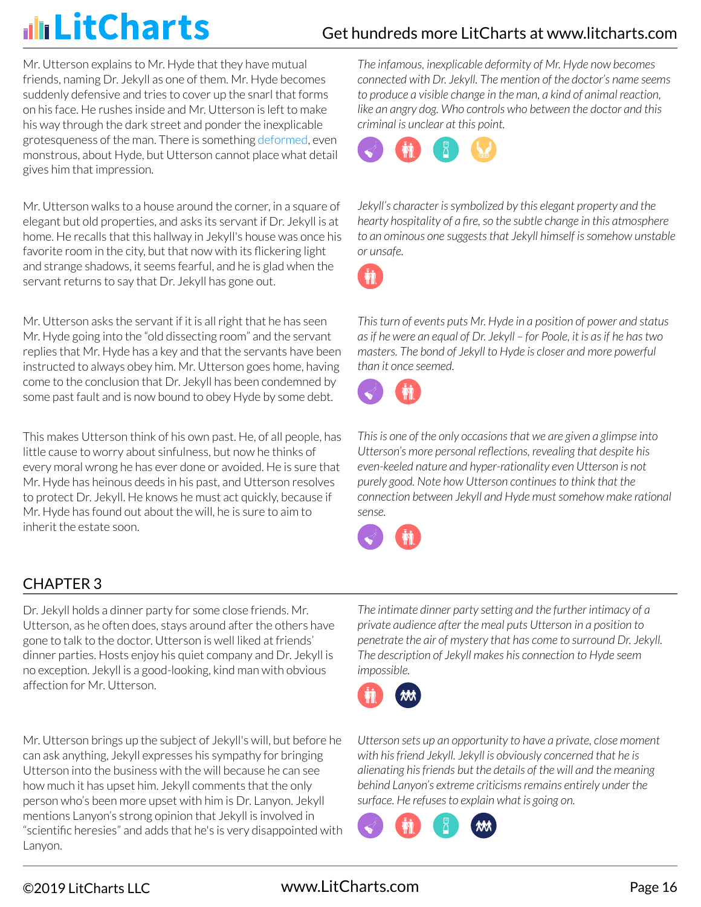Mr. Utterson explains to Mr. Hyde that they have mutual friends, naming Dr. Jekyll as one of them. Mr. Hyde becomes suddenly defensive and tries to cover up the snarl that forms on his face. He rushes inside and Mr. Utterson is left to make his way through the dark street and ponder the inexplicable grotesqueness of the man. There is something deformed, even monstrous, about Hyde, but Utterson cannot place what detail gives him that impression.

Mr. Utterson walks to a house around the corner, in a square of elegant but old properties, and asks its servant if Dr. Jekyll is at home. He recalls that this hallway in Jekyll's house was once his favorite room in the city, but that now with its flickering light and strange shadows, it seems fearful, and he is glad when the servant returns to say that Dr. Jekyll has gone out.

Mr. Utterson asks the servant if it is all right that he has seen Mr. Hyde going into the "old dissecting room" and the servant replies that Mr. Hyde has a key and that the servants have been instructed to always obey him. Mr. Utterson goes home, having come to the conclusion that Dr. Jekyll has been condemned by some past fault and is now bound to obey Hyde by some debt.

This makes Utterson think of his own past. He, of all people, has little cause to worry about sinfulness, but now he thinks of every moral wrong he has ever done or avoided. He is sure that Mr. Hyde has heinous deeds in his past, and Utterson resolves to protect Dr. Jekyll. He knows he must act quickly, because if Mr. Hyde has found out about the will, he is sure to aim to inherit the estate soon.

### CHAPTER 3

Dr. Jekyll holds a dinner party for some close friends. Mr. Utterson, as he often does, stays around after the others have gone to talk to the doctor. Utterson is well liked at friends' dinner parties. Hosts enjoy his quiet company and Dr. Jekyll is no exception. Jekyll is a good-looking, kind man with obvious affection for Mr. Utterson.

Mr. Utterson brings up the subject of Jekyll's will, but before he can ask anything, Jekyll expresses his sympathy for bringing Utterson into the business with the will because he can see how much it has upset him. Jekyll comments that the only person who's been more upset with him is Dr. Lanyon. Jekyll mentions Lanyon's strong opinion that Jekyll is involved in "scientific heresies" and adds that he's is very disappointed with Lanyon.

*The infamous, inexplicable deformity of Mr. Hyde now becomes connected with Dr. Jekyll. The mention of the doctor's name seems to produce a visible change in the man, a kind of animal reaction, like an angry dog. Who controls who between the doctor and this criminal is unclear at this point.*



*Jekyll's character is symbolized by this elegant property and the hearty hospitality of a fire, so the subtle change in this atmosphere to an ominous one suggests that Jekyll himself is somehow unstable or unsafe.*



*This turn of events puts Mr. Hyde in a position of power and status as if he were an equal of Dr. Jekyll – for Poole, it is as if he has two masters. The bond of Jekyll to Hyde is closer and more powerful than it once seemed.*



*This is one of the only occasions that we are given a glimpse into Utterson's more personal reflections, revealing that despite his even-keeled nature and hyper-rationality even Utterson is not purely good. Note how Utterson continues to think that the connection between Jekyll and Hyde must somehow make rational sense.*



*The intimate dinner party setting and the further intimacy of a private audience after the meal puts Utterson in a position to penetrate the air of mystery that has come to surround Dr. Jekyll. The description of Jekyll makes his connection to Hyde seem impossible.*



*Utterson sets up an opportunity to have a private, close moment with his friend Jekyll. Jekyll is obviously concerned that he is alienating his friends but the details of the will and the meaning behind Lanyon's extreme criticisms remains entirely under the surface. He refuses to explain what is going on.*

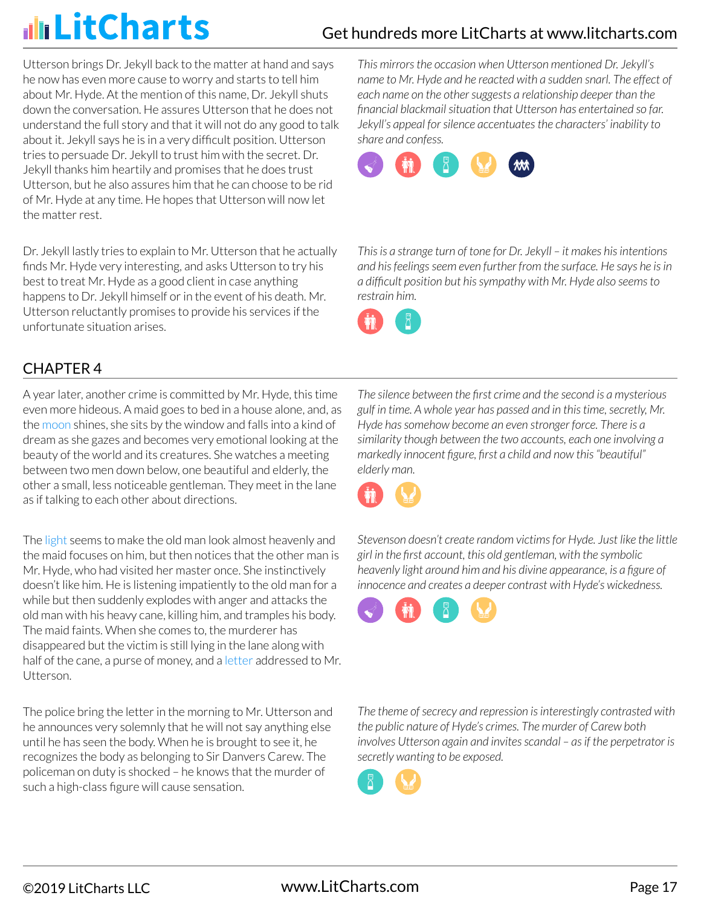Utterson brings Dr. Jekyll back to the matter at hand and says he now has even more cause to worry and starts to tell him about Mr. Hyde. At the mention of this name, Dr. Jekyll shuts down the conversation. He assures Utterson that he does not understand the full story and that it will not do any good to talk about it. Jekyll says he is in a very difficult position. Utterson tries to persuade Dr. Jekyll to trust him with the secret. Dr. Jekyll thanks him heartily and promises that he does trust Utterson, but he also assures him that he can choose to be rid of Mr. Hyde at any time. He hopes that Utterson will now let the matter rest.

Dr. Jekyll lastly tries to explain to Mr. Utterson that he actually finds Mr. Hyde very interesting, and asks Utterson to try his best to treat Mr. Hyde as a good client in case anything happens to Dr. Jekyll himself or in the event of his death. Mr. Utterson reluctantly promises to provide his services if the unfortunate situation arises.

CHAPTER 4

A year later, another crime is committed by Mr. Hyde, this time even more hideous. A maid goes to bed in a house alone, and, as the moon shines, she sits by the window and falls into a kind of dream as she gazes and becomes very emotional looking at the beauty of the world and its creatures. She watches a meeting between two men down below, one beautiful and elderly, the other a small, less noticeable gentleman. They meet in the lane as if talking to each other about directions.

The light seems to make the old man look almost heavenly and the maid focuses on him, but then notices that the other man is Mr. Hyde, who had visited her master once. She instinctively doesn't like him. He is listening impatiently to the old man for a while but then suddenly explodes with anger and attacks the old man with his heavy cane, killing him, and tramples his body. The maid faints. When she comes to, the murderer has disappeared but the victim is still lying in the lane along with half of the cane, a purse of money, and a letter addressed to Mr. **Utterson** 

The police bring the letter in the morning to Mr. Utterson and he announces very solemnly that he will not say anything else until he has seen the body. When he is brought to see it, he recognizes the body as belonging to Sir Danvers Carew. The policeman on duty is shocked – he knows that the murder of such a high-class figure will cause sensation.

*This mirrors the occasion when Utterson mentioned Dr. Jekyll's name to Mr. Hyde and he reacted with a sudden snarl. The effect of each name on the other suggests a relationship deeper than the financial blackmail situation that Utterson has entertained so far. Jekyll's appeal for silence accentuates the characters' inability to share and confess.*



*This is a strange turn of tone for Dr. Jekyll – it makes his intentions and his feelings seem even further from the surface. He says he is in a difficult position but his sympathy with Mr. Hyde also seems to restrain him.*



*The silence between the first crime and the second is a mysterious gulf in time. A whole year has passed and in this time, secretly, Mr. Hyde has somehow become an even stronger force. There is a similarity though between the two accounts, each one involving a markedly innocent figure, first a child and now this "beautiful" elderly man.*



*Stevenson doesn't create random victims for Hyde. Just like the little girl in the first account, this old gentleman, with the symbolic heavenly light around him and his divine appearance, is a figure of innocence and creates a deeper contrast with Hyde's wickedness.*



*The theme of secrecy and repression is interestingly contrasted with the public nature of Hyde's crimes. The murder of Carew both involves Utterson again and invites scandal – as if the perpetrator is secretly wanting to be exposed.*

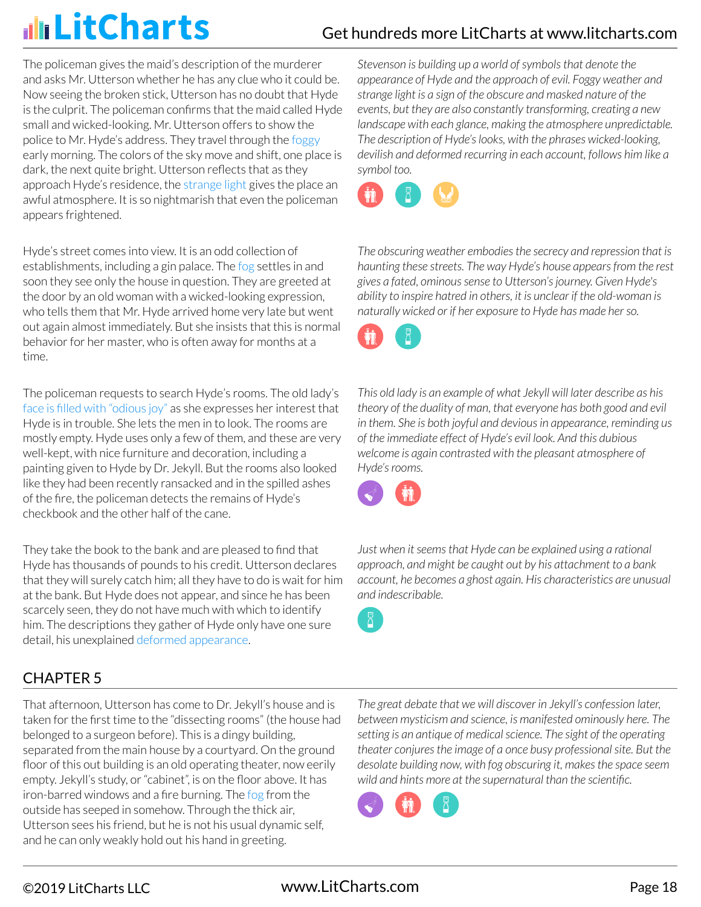The policeman gives the maid's description of the murderer and asks Mr. Utterson whether he has any clue who it could be. Now seeing the broken stick, Utterson has no doubt that Hyde is the culprit. The policeman confirms that the maid called Hyde small and wicked-looking. Mr. Utterson offers to show the police to Mr. Hyde's address. They travel through the foggy early morning. The colors of the sky move and shift, one place is dark, the next quite bright. Utterson reflects that as they approach Hyde's residence, the strange light gives the place an awful atmosphere. It is so nightmarish that even the policeman appears frightened.

Hyde's street comes into view. It is an odd collection of establishments, including a gin palace. The fog settles in and soon they see only the house in question. They are greeted at the door by an old woman with a wicked-looking expression, who tells them that Mr. Hyde arrived home very late but went out again almost immediately. But she insists that this is normal behavior for her master, who is often away for months at a time.

The policeman requests to search Hyde's rooms. The old lady's face is filled with "odious joy" as she expresses her interest that Hyde is in trouble. She lets the men in to look. The rooms are mostly empty. Hyde uses only a few of them, and these are very well-kept, with nice furniture and decoration, including a painting given to Hyde by Dr. Jekyll. But the rooms also looked like they had been recently ransacked and in the spilled ashes of the fire, the policeman detects the remains of Hyde's checkbook and the other half of the cane.

They take the book to the bank and are pleased to find that Hyde has thousands of pounds to his credit. Utterson declares that they will surely catch him; all they have to do is wait for him at the bank. But Hyde does not appear, and since he has been scarcely seen, they do not have much with which to identify him. The descriptions they gather of Hyde only have one sure detail, his unexplained deformed appearance.

### CHAPTER 5

That afternoon, Utterson has come to Dr. Jekyll's house and is taken for the first time to the "dissecting rooms" (the house had belonged to a surgeon before). This is a dingy building, separated from the main house by a courtyard. On the ground floor of this out building is an old operating theater, now eerily empty. Jekyll's study, or "cabinet", is on the floor above. It has iron-barred windows and a fire burning. The fog from the outside has seeped in somehow. Through the thick air, Utterson sees his friend, but he is not his usual dynamic self, and he can only weakly hold out his hand in greeting.

*Stevenson is building up a world of symbols that denote the appearance of Hyde and the approach of evil. Foggy weather and strange light is a sign of the obscure and masked nature of the events, but they are also constantly transforming, creating a new landscape with each glance, making the atmosphere unpredictable. The description of Hyde's looks, with the phrases wicked-looking, devilish and deformed recurring in each account, follows him like a symbol too.*



*The obscuring weather embodies the secrecy and repression that is haunting these streets. The way Hyde's house appears from the rest gives a fated, ominous sense to Utterson's journey. Given Hyde's ability to inspire hatred in others, it is unclear if the old-woman is naturally wicked or if her exposure to Hyde has made her so.*



*This old lady is an example of what Jekyll will later describe as his theory of the duality of man, that everyone has both good and evil in them. She is both joyful and devious in appearance, reminding us of the immediate effect of Hyde's evil look. And this dubious welcome is again contrasted with the pleasant atmosphere of Hyde's rooms.*



*Just when it seems that Hyde can be explained using a rational approach, and might be caught out by his attachment to a bank account, he becomes a ghost again. His characteristics are unusual and indescribable.*



*The great debate that we will discover in Jekyll's confession later, between mysticism and science, is manifested ominously here. The setting is an antique of medical science. The sight of the operating theater conjures the image of a once busy professional site. But the desolate building now, with fog obscuring it, makes the space seem wild and hints more at the supernatural than the scientific.*

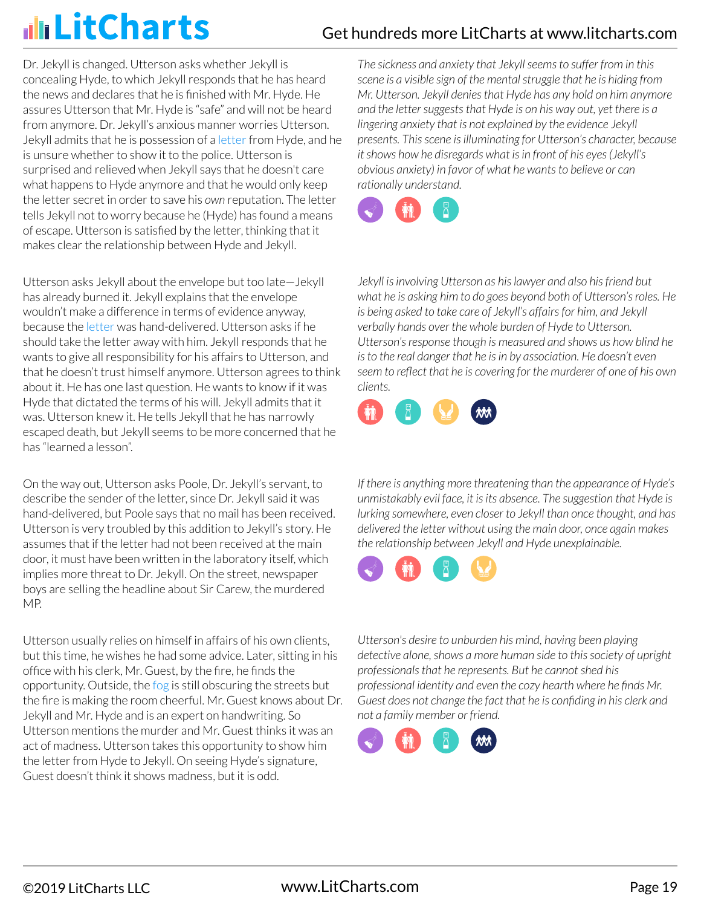Dr. Jekyll is changed. Utterson asks whether Jekyll is concealing Hyde, to which Jekyll responds that he has heard the news and declares that he is finished with Mr. Hyde. He assures Utterson that Mr. Hyde is "safe" and will not be heard from anymore. Dr. Jekyll's anxious manner worries Utterson. Jekyll admits that he is possession of a letter from Hyde, and he is unsure whether to show it to the police. Utterson is surprised and relieved when Jekyll says that he doesn't care what happens to Hyde anymore and that he would only keep the letter secret in order to save his *own* reputation. The letter tells Jekyll not to worry because he (Hyde) has found a means of escape. Utterson is satisfied by the letter, thinking that it makes clear the relationship between Hyde and Jekyll.

Utterson asks Jekyll about the envelope but too late—Jekyll has already burned it. Jekyll explains that the envelope wouldn't make a difference in terms of evidence anyway, because the letter was hand-delivered. Utterson asks if he should take the letter away with him. Jekyll responds that he wants to give all responsibility for his affairs to Utterson, and that he doesn't trust himself anymore. Utterson agrees to think about it. He has one last question. He wants to know if it was Hyde that dictated the terms of his will. Jekyll admits that it was. Utterson knew it. He tells Jekyll that he has narrowly escaped death, but Jekyll seems to be more concerned that he has "learned a lesson".

On the way out, Utterson asks Poole, Dr. Jekyll's servant, to describe the sender of the letter, since Dr. Jekyll said it was hand-delivered, but Poole says that no mail has been received. Utterson is very troubled by this addition to Jekyll's story. He assumes that if the letter had not been received at the main door, it must have been written in the laboratory itself, which implies more threat to Dr. Jekyll. On the street, newspaper boys are selling the headline about Sir Carew, the murdered MP.

Utterson usually relies on himself in affairs of his own clients, but this time, he wishes he had some advice. Later, sitting in his office with his clerk, Mr. Guest, by the fire, he finds the opportunity. Outside, the fog is still obscuring the streets but the fire is making the room cheerful. Mr. Guest knows about Dr. Jekyll and Mr. Hyde and is an expert on handwriting. So Utterson mentions the murder and Mr. Guest thinks it was an act of madness. Utterson takes this opportunity to show him the letter from Hyde to Jekyll. On seeing Hyde's signature, Guest doesn't think it shows madness, but it is odd.

*The sickness and anxiety that Jekyll seems to suffer from in this scene is a visible sign of the mental struggle that he is hiding from Mr. Utterson. Jekyll denies that Hyde has any hold on him anymore and the letter suggests that Hyde is on his way out, yet there is a lingering anxiety that is not explained by the evidence Jekyll presents. This scene is illuminating for Utterson's character, because it shows how he disregards what is in front of his eyes (Jekyll's obvious anxiety) in favor of what he wants to believe or can rationally understand.*



*Jekyll is involving Utterson as his lawyer and also his friend but what he is asking him to do goes beyond both of Utterson's roles. He is being asked to take care of Jekyll's affairs for him, and Jekyll verbally hands over the whole burden of Hyde to Utterson. Utterson's response though is measured and shows us how blind he is to the real danger that he is in by association. He doesn't even seem to reflect that he is covering for the murderer of one of his own clients.*



*If there is anything more threatening than the appearance of Hyde's unmistakably evil face, it is its absence. The suggestion that Hyde is lurking somewhere, even closer to Jekyll than once thought, and has delivered the letter without using the main door, once again makes the relationship between Jekyll and Hyde unexplainable.*



*Utterson's desire to unburden his mind, having been playing detective alone, shows a more human side to this society of upright professionals that he represents. But he cannot shed his professional identity and even the cozy hearth where he finds Mr. Guest does not change the fact that he is confiding in his clerk and not a family member or friend.*

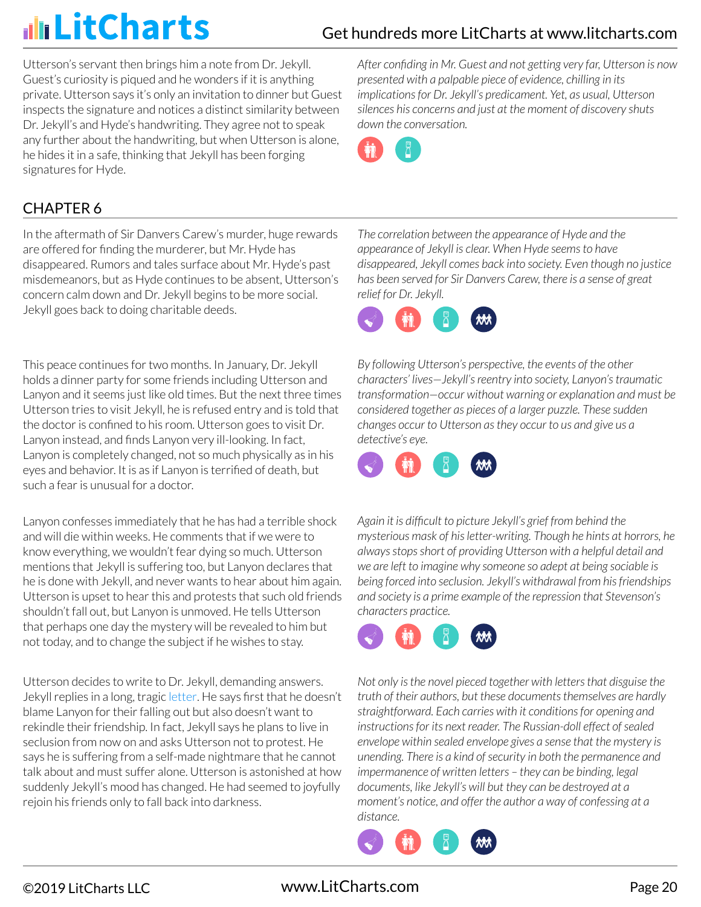Utterson's servant then brings him a note from Dr. Jekyll. Guest's curiosity is piqued and he wonders if it is anything private. Utterson says it's only an invitation to dinner but Guest inspects the signature and notices a distinct similarity between Dr. Jekyll's and Hyde's handwriting. They agree not to speak any further about the handwriting, but when Utterson is alone, he hides it in a safe, thinking that Jekyll has been forging signatures for Hyde.

CHAPTER 6

In the aftermath of Sir Danvers Carew's murder, huge rewards are offered for finding the murderer, but Mr. Hyde has disappeared. Rumors and tales surface about Mr. Hyde's past misdemeanors, but as Hyde continues to be absent, Utterson's concern calm down and Dr. Jekyll begins to be more social. Jekyll goes back to doing charitable deeds.

This peace continues for two months. In January, Dr. Jekyll holds a dinner party for some friends including Utterson and Lanyon and it seems just like old times. But the next three times Utterson tries to visit Jekyll, he is refused entry and is told that the doctor is confined to his room. Utterson goes to visit Dr. Lanyon instead, and finds Lanyon very ill-looking. In fact, Lanyon is completely changed, not so much physically as in his eyes and behavior. It is as if Lanyon is terrified of death, but such a fear is unusual for a doctor.

Lanyon confesses immediately that he has had a terrible shock and will die within weeks. He comments that if we were to know everything, we wouldn't fear dying so much. Utterson mentions that Jekyll is suffering too, but Lanyon declares that he is done with Jekyll, and never wants to hear about him again. Utterson is upset to hear this and protests that such old friends shouldn't fall out, but Lanyon is unmoved. He tells Utterson that perhaps one day the mystery will be revealed to him but not today, and to change the subject if he wishes to stay.

Utterson decides to write to Dr. Jekyll, demanding answers. Jekyll replies in a long, tragic letter. He says first that he doesn't blame Lanyon for their falling out but also doesn't want to rekindle their friendship. In fact, Jekyll says he plans to live in seclusion from now on and asks Utterson not to protest. He says he is suffering from a self-made nightmare that he cannot talk about and must suffer alone. Utterson is astonished at how suddenly Jekyll's mood has changed. He had seemed to joyfully rejoin his friends only to fall back into darkness.

*After confiding in Mr. Guest and not getting very far, Utterson is now presented with a palpable piece of evidence, chilling in its implications for Dr. Jekyll's predicament. Yet, as usual, Utterson silences his concerns and just at the moment of discovery shuts down the conversation.*



*The correlation between the appearance of Hyde and the appearance of Jekyll is clear. When Hyde seems to have disappeared, Jekyll comes back into society. Even though no justice has been served for Sir Danvers Carew, there is a sense of great relief for Dr. Jekyll.*



*By following Utterson's perspective, the events of the other characters' lives—Jekyll's reentry into society, Lanyon's traumatic transformation—occur without warning or explanation and must be considered together as pieces of a larger puzzle. These sudden changes occur to Utterson as they occur to us and give us a detective's eye.*



*Again it is difficult to picture Jekyll's grief from behind the mysterious mask of his letter-writing. Though he hints at horrors, he always stops short of providing Utterson with a helpful detail and we are left to imagine why someone so adept at being sociable is being forced into seclusion. Jekyll's withdrawal from his friendships and society is a prime example of the repression that Stevenson's characters practice.*



*Not only is the novel pieced together with letters that disguise the truth of their authors, but these documents themselves are hardly straightforward. Each carries with it conditions for opening and instructions for its next reader. The Russian-doll effect of sealed envelope within sealed envelope gives a sense that the mystery is unending. There is a kind of security in both the permanence and impermanence of written letters – they can be binding, legal documents, like Jekyll's will but they can be destroyed at a moment's notice, and offer the author a way of confessing at a distance.*

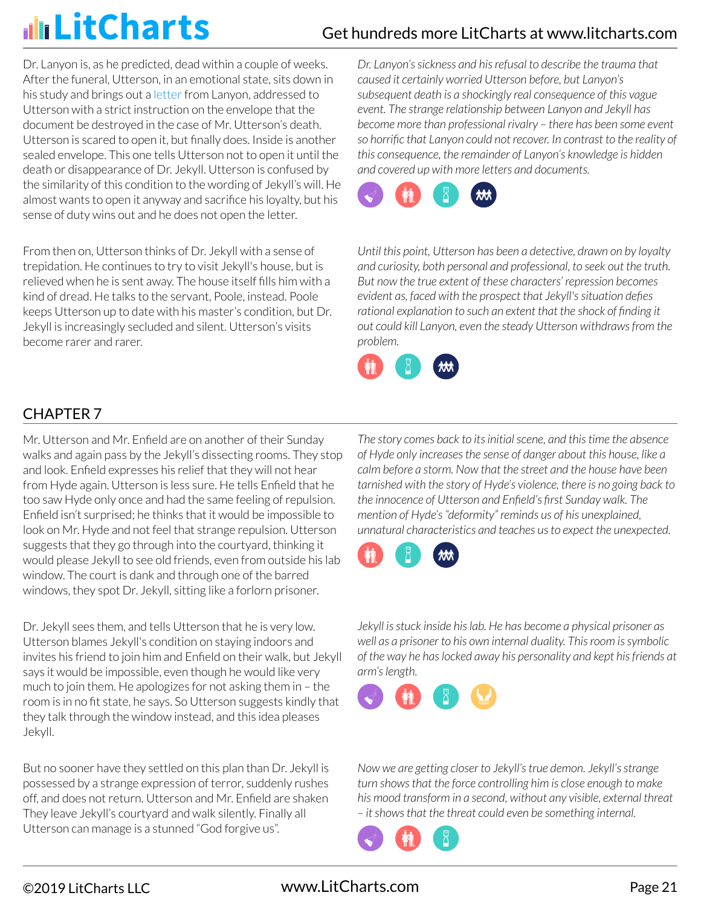Dr. Lanyon is, as he predicted, dead within a couple of weeks. After the funeral, Utterson, in an emotional state, sits down in his study and brings out a letter from Lanyon, addressed to Utterson with a strict instruction on the envelope that the document be destroyed in the case of Mr. Utterson's death. Utterson is scared to open it, but finally does. Inside is another sealed envelope. This one tells Utterson not to open it until the death or disappearance of Dr. Jekyll. Utterson is confused by the similarity of this condition to the wording of Jekyll's will. He almost wants to open it anyway and sacrifice his loyalty, but his sense of duty wins out and he does not open the letter.

From then on, Utterson thinks of Dr. Jekyll with a sense of trepidation. He continues to try to visit Jekyll's house, but is relieved when he is sent away. The house itself fills him with a kind of dread. He talks to the servant, Poole, instead. Poole keeps Utterson up to date with his master's condition, but Dr. Jekyll is increasingly secluded and silent. Utterson's visits become rarer and rarer.

*Dr. Lanyon's sickness and his refusal to describe the trauma that caused it certainly worried Utterson before, but Lanyon's subsequent death is a shockingly real consequence of this vague event. The strange relationship between Lanyon and Jekyll has become more than professional rivalry – there has been some event so horrific that Lanyon could not recover. In contrast to the reality of this consequence, the remainder of Lanyon's knowledge is hidden and covered up with more letters and documents.*



*Until this point, Utterson has been a detective, drawn on by loyalty and curiosity, both personal and professional, to seek out the truth. But now the true extent of these characters' repression becomes evident as, faced with the prospect that Jekyll's situation defies rational explanation to such an extent that the shock of finding it out could kill Lanyon, even the steady Utterson withdraws from the problem.*



### CHAPTER 7

Mr. Utterson and Mr. Enfield are on another of their Sunday walks and again pass by the Jekyll's dissecting rooms. They stop and look. Enfield expresses his relief that they will not hear from Hyde again. Utterson is less sure. He tells Enfield that he too saw Hyde only once and had the same feeling of repulsion. Enfield isn't surprised; he thinks that it would be impossible to look on Mr. Hyde and not feel that strange repulsion. Utterson suggests that they go through into the courtyard, thinking it would please Jekyll to see old friends, even from outside his lab window. The court is dank and through one of the barred windows, they spot Dr. Jekyll, sitting like a forlorn prisoner.

Dr. Jekyll sees them, and tells Utterson that he is very low. Utterson blames Jekyll's condition on staying indoors and invites his friend to join him and Enfield on their walk, but Jekyll says it would be impossible, even though he would like very much to join them. He apologizes for not asking them in – the room is in no fit state, he says. So Utterson suggests kindly that they talk through the window instead, and this idea pleases Jekyll.

But no sooner have they settled on this plan than Dr. Jekyll is possessed by a strange expression of terror, suddenly rushes off, and does not return. Utterson and Mr. Enfield are shaken They leave Jekyll's courtyard and walk silently. Finally all Utterson can manage is a stunned "God forgive us".

*The story comes back to its initial scene, and this time the absence of Hyde only increases the sense of danger about this house, like a calm before a storm. Now that the street and the house have been tarnished with the story of Hyde's violence, there is no going back to the innocence of Utterson and Enfield's first Sunday walk. The mention of Hyde's "deformity" reminds us of his unexplained, unnatural characteristics and teaches us to expect the unexpected.*



*Jekyll is stuck inside his lab. He has become a physical prisoner as well as a prisoner to his own internal duality. This room is symbolic of the way he has locked away his personality and kept his friends at arm's length.*



*Now we are getting closer to Jekyll's true demon. Jekyll's strange turn shows that the force controlling him is close enough to make his mood transform in a second, without any visible, external threat – it shows that the threat could even be something internal.*

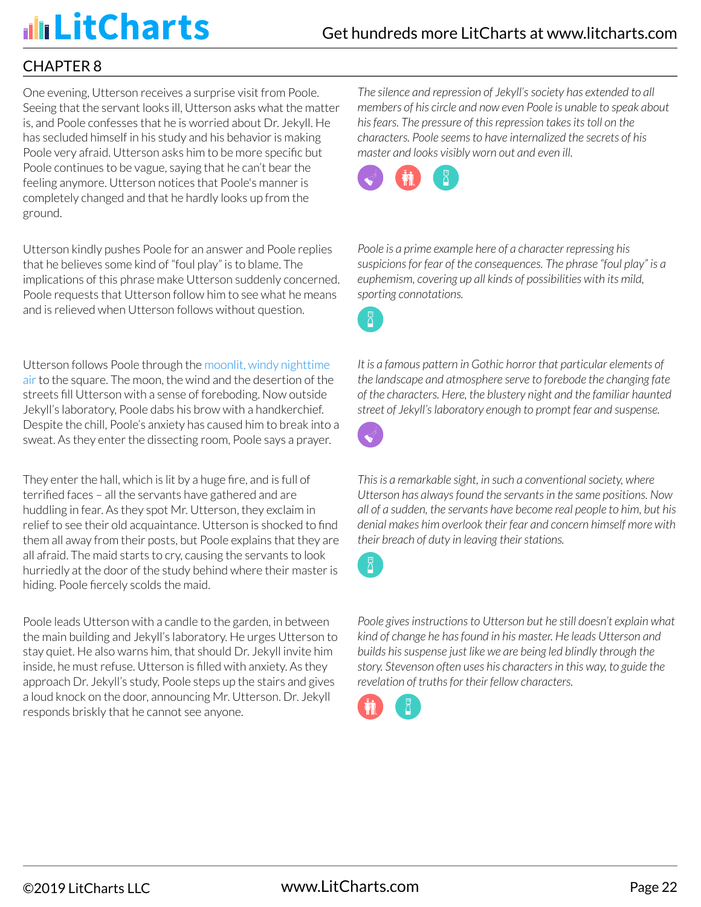# illi LitCharts

### CHAPTER 8

One evening, Utterson receives a surprise visit from Poole. Seeing that the servant looks ill, Utterson asks what the matter is, and Poole confesses that he is worried about Dr. Jekyll. He has secluded himself in his study and his behavior is making Poole very afraid. Utterson asks him to be more specific but Poole continues to be vague, saying that he can't bear the feeling anymore. Utterson notices that Poole's manner is completely changed and that he hardly looks up from the ground.

Utterson kindly pushes Poole for an answer and Poole replies that he believes some kind of "foul play" is to blame. The implications of this phrase make Utterson suddenly concerned. Poole requests that Utterson follow him to see what he means and is relieved when Utterson follows without question.

Utterson follows Poole through the moonlit, windy nighttime air to the square. The moon, the wind and the desertion of the streets fill Utterson with a sense of foreboding. Now outside Jekyll's laboratory, Poole dabs his brow with a handkerchief. Despite the chill, Poole's anxiety has caused him to break into a sweat. As they enter the dissecting room, Poole says a prayer.

They enter the hall, which is lit by a huge fire, and is full of terrified faces – all the servants have gathered and are huddling in fear. As they spot Mr. Utterson, they exclaim in relief to see their old acquaintance. Utterson is shocked to find them all away from their posts, but Poole explains that they are all afraid. The maid starts to cry, causing the servants to look hurriedly at the door of the study behind where their master is hiding. Poole fiercely scolds the maid.

Poole leads Utterson with a candle to the garden, in between the main building and Jekyll's laboratory. He urges Utterson to stay quiet. He also warns him, that should Dr. Jekyll invite him inside, he must refuse. Utterson is filled with anxiety. As they approach Dr. Jekyll's study, Poole steps up the stairs and gives a loud knock on the door, announcing Mr. Utterson. Dr. Jekyll responds briskly that he cannot see anyone.

*The silence and repression of Jekyll's society has extended to all members of his circle and now even Poole is unable to speak about his fears. The pressure of this repression takes its toll on the characters. Poole seems to have internalized the secrets of his master and looks visibly worn out and even ill.*



*Poole is a prime example here of a character repressing his suspicions for fear of the consequences. The phrase "foul play" is a euphemism, covering up all kinds of possibilities with its mild, sporting connotations.*

*It is a famous pattern in Gothic horror that particular elements of the landscape and atmosphere serve to forebode the changing fate of the characters. Here, the blustery night and the familiar haunted street of Jekyll's laboratory enough to prompt fear and suspense.*



*This is a remarkable sight, in such a conventional society, where Utterson has always found the servants in the same positions. Now all of a sudden, the servants have become real people to him, but his denial makes him overlook their fear and concern himself more with their breach of duty in leaving their stations.*



*Poole gives instructions to Utterson but he still doesn't explain what kind of change he has found in his master. He leads Utterson and builds his suspense just like we are being led blindly through the story. Stevenson often uses his characters in this way, to guide the revelation of truths for their fellow characters.*

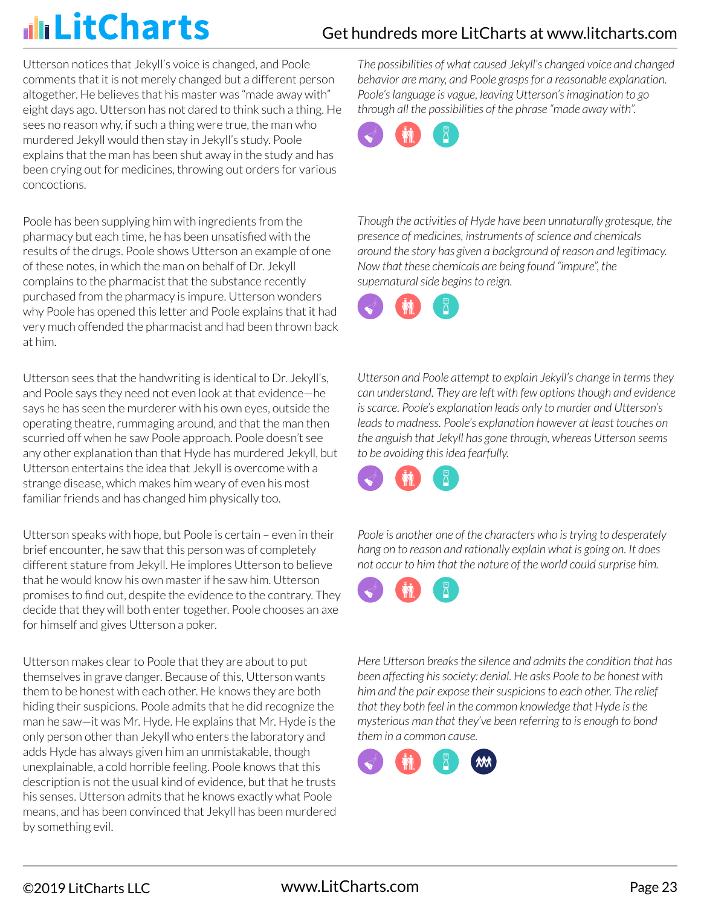# illi LitCharts

## Get hundreds more LitCharts at [www.litcharts.com](https://www.litcharts.com/)

Utterson notices that Jekyll's voice is changed, and Poole comments that it is not merely changed but a different person altogether. He believes that his master was "made away with" eight days ago. Utterson has not dared to think such a thing. He sees no reason why, if such a thing were true, the man who murdered Jekyll would then stay in Jekyll's study. Poole explains that the man has been shut away in the study and has been crying out for medicines, throwing out orders for various concoctions.

Poole has been supplying him with ingredients from the pharmacy but each time, he has been unsatisfied with the results of the drugs. Poole shows Utterson an example of one of these notes, in which the man on behalf of Dr. Jekyll complains to the pharmacist that the substance recently purchased from the pharmacy is impure. Utterson wonders why Poole has opened this letter and Poole explains that it had very much offended the pharmacist and had been thrown back at him.

Utterson sees that the handwriting is identical to Dr. Jekyll's, and Poole says they need not even look at that evidence—he says he has seen the murderer with his own eyes, outside the operating theatre, rummaging around, and that the man then scurried off when he saw Poole approach. Poole doesn't see any other explanation than that Hyde has murdered Jekyll, but Utterson entertains the idea that Jekyll is overcome with a strange disease, which makes him weary of even his most familiar friends and has changed him physically too.

Utterson speaks with hope, but Poole is certain – even in their brief encounter, he saw that this person was of completely different stature from Jekyll. He implores Utterson to believe that he would know his own master if he saw him. Utterson promises to find out, despite the evidence to the contrary. They decide that they will both enter together. Poole chooses an axe for himself and gives Utterson a poker.

Utterson makes clear to Poole that they are about to put themselves in grave danger. Because of this, Utterson wants them to be honest with each other. He knows they are both hiding their suspicions. Poole admits that he did recognize the man he saw—it was Mr. Hyde. He explains that Mr. Hyde is the only person other than Jekyll who enters the laboratory and adds Hyde has always given him an unmistakable, though unexplainable, a cold horrible feeling. Poole knows that this description is not the usual kind of evidence, but that he trusts his senses. Utterson admits that he knows exactly what Poole means, and has been convinced that Jekyll has been murdered by something evil.

*The possibilities of what caused Jekyll's changed voice and changed behavior are many, and Poole grasps for a reasonable explanation. Poole's language is vague, leaving Utterson's imagination to go through all the possibilities of the phrase "made away with".*



*Though the activities of Hyde have been unnaturally grotesque, the presence of medicines, instruments of science and chemicals around the story has given a background of reason and legitimacy. Now that these chemicals are being found "impure", the supernatural side begins to reign.*



*Utterson and Poole attempt to explain Jekyll's change in terms they can understand. They are left with few options though and evidence is scarce. Poole's explanation leads only to murder and Utterson's leads to madness. Poole's explanation however at least touches on the anguish that Jekyll has gone through, whereas Utterson seems to be avoiding this idea fearfully.*



*Poole is another one of the characters who is trying to desperately hang on to reason and rationally explain what is going on. It does not occur to him that the nature of the world could surprise him.*



*Here Utterson breaks the silence and admits the condition that has been affecting his society: denial. He asks Poole to be honest with him and the pair expose their suspicions to each other. The relief that they both feel in the common knowledge that Hyde is the mysterious man that they've been referring to is enough to bond them in a common cause.*

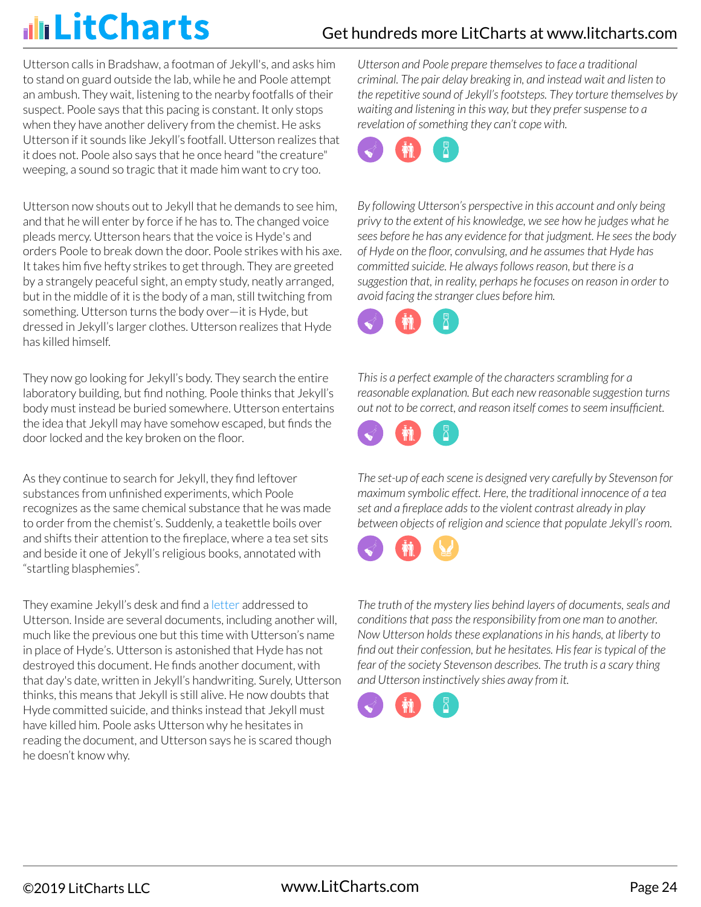### Get hundreds more LitCharts at [www.litcharts.com](https://www.litcharts.com/)

Utterson calls in Bradshaw, a footman of Jekyll's, and asks him to stand on guard outside the lab, while he and Poole attempt an ambush. They wait, listening to the nearby footfalls of their suspect. Poole says that this pacing is constant. It only stops when they have another delivery from the chemist. He asks Utterson if it sounds like Jekyll's footfall. Utterson realizes that it does not. Poole also says that he once heard "the creature" weeping, a sound so tragic that it made him want to cry too.

Utterson now shouts out to Jekyll that he demands to see him, and that he will enter by force if he has to. The changed voice pleads mercy. Utterson hears that the voice is Hyde's and orders Poole to break down the door. Poole strikes with his axe. It takes him five hefty strikes to get through. They are greeted by a strangely peaceful sight, an empty study, neatly arranged, but in the middle of it is the body of a man, still twitching from something. Utterson turns the body over—it is Hyde, but dressed in Jekyll's larger clothes. Utterson realizes that Hyde has killed himself.

They now go looking for Jekyll's body. They search the entire laboratory building, but find nothing. Poole thinks that Jekyll's body must instead be buried somewhere. Utterson entertains the idea that Jekyll may have somehow escaped, but finds the door locked and the key broken on the floor.

As they continue to search for Jekyll, they find leftover substances from unfinished experiments, which Poole recognizes as the same chemical substance that he was made to order from the chemist's. Suddenly, a teakettle boils over and shifts their attention to the fireplace, where a tea set sits and beside it one of Jekyll's religious books, annotated with "startling blasphemies".

They examine Jekyll's desk and find a letter addressed to Utterson. Inside are several documents, including another will, much like the previous one but this time with Utterson's name in place of Hyde's. Utterson is astonished that Hyde has not destroyed this document. He finds another document, with that day's date, written in Jekyll's handwriting. Surely, Utterson thinks, this means that Jekyll is still alive. He now doubts that Hyde committed suicide, and thinks instead that Jekyll must have killed him. Poole asks Utterson why he hesitates in reading the document, and Utterson says he is scared though he doesn't know why.

*Utterson and Poole prepare themselves to face a traditional criminal. The pair delay breaking in, and instead wait and listen to the repetitive sound of Jekyll's footsteps. They torture themselves by waiting and listening in this way, but they prefer suspense to a revelation of something they can't cope with.*



*By following Utterson's perspective in this account and only being privy to the extent of his knowledge, we see how he judges what he sees before he has any evidence for that judgment. He sees the body of Hyde on the floor, convulsing, and he assumes that Hyde has committed suicide. He always follows reason, but there is a suggestion that, in reality, perhaps he focuses on reason in order to avoid facing the stranger clues before him.*



*This is a perfect example of the characters scrambling for a reasonable explanation. But each new reasonable suggestion turns out not to be correct, and reason itself comes to seem insufficient.*



*The set-up of each scene is designed very carefully by Stevenson for maximum symbolic effect. Here, the traditional innocence of a tea set and a fireplace adds to the violent contrast already in play between objects of religion and science that populate Jekyll's room.*



*The truth of the mystery lies behind layers of documents, seals and conditions that pass the responsibility from one man to another. Now Utterson holds these explanations in his hands, at liberty to find out their confession, but he hesitates. His fear is typical of the fear of the society Stevenson describes. The truth is a scary thing and Utterson instinctively shies away from it.*

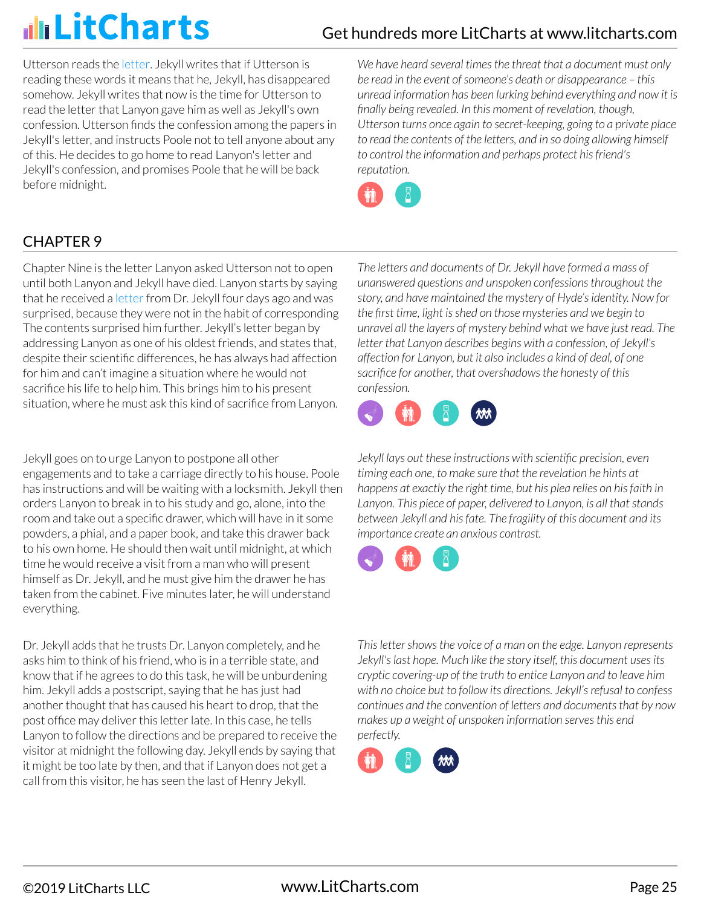# illi LitCharts

## Get hundreds more LitCharts at [www.litcharts.com](https://www.litcharts.com/)

Utterson reads the letter. Jekyll writes that if Utterson is reading these words it means that he, Jekyll, has disappeared somehow. Jekyll writes that now is the time for Utterson to read the letter that Lanyon gave him as well as Jekyll's own confession. Utterson finds the confession among the papers in Jekyll's letter, and instructs Poole not to tell anyone about any of this. He decides to go home to read Lanyon's letter and Jekyll's confession, and promises Poole that he will be back before midnight.

*We have heard several times the threat that a document must only be read in the event of someone's death or disappearance – this unread information has been lurking behind everything and now it is finally being revealed. In this moment of revelation, though, Utterson turns once again to secret-keeping, going to a private place to read the contents of the letters, and in so doing allowing himself to control the information and perhaps protect his friend's reputation.*



### CHAPTER 9

Chapter Nine is the letter Lanyon asked Utterson not to open until both Lanyon and Jekyll have died. Lanyon starts by saying that he received a letter from Dr. Jekyll four days ago and was surprised, because they were not in the habit of corresponding The contents surprised him further. Jekyll's letter began by addressing Lanyon as one of his oldest friends, and states that, despite their scientific differences, he has always had affection for him and can't imagine a situation where he would not sacrifice his life to help him. This brings him to his present situation, where he must ask this kind of sacrifice from Lanyon.

Jekyll goes on to urge Lanyon to postpone all other engagements and to take a carriage directly to his house. Poole has instructions and will be waiting with a locksmith. Jekyll then orders Lanyon to break in to his study and go, alone, into the room and take out a specific drawer, which will have in it some powders, a phial, and a paper book, and take this drawer back to his own home. He should then wait until midnight, at which time he would receive a visit from a man who will present himself as Dr. Jekyll, and he must give him the drawer he has taken from the cabinet. Five minutes later, he will understand everything.

Dr. Jekyll adds that he trusts Dr. Lanyon completely, and he asks him to think of his friend, who is in a terrible state, and know that if he agrees to do this task, he will be unburdening him. Jekyll adds a postscript, saying that he has just had another thought that has caused his heart to drop, that the post office may deliver this letter late. In this case, he tells Lanyon to follow the directions and be prepared to receive the visitor at midnight the following day. Jekyll ends by saying that it might be too late by then, and that if Lanyon does not get a call from this visitor, he has seen the last of Henry Jekyll.

*The letters and documents of Dr. Jekyll have formed a mass of unanswered questions and unspoken confessions throughout the story, and have maintained the mystery of Hyde's identity. Now for the first time, light is shed on those mysteries and we begin to unravel all the layers of mystery behind what we have just read. The letter that Lanyon describes begins with a confession, of Jekyll's affection for Lanyon, but it also includes a kind of deal, of one sacrifice for another, that overshadows the honesty of this confession.*



*Jekyll lays out these instructions with scientific precision, even timing each one, to make sure that the revelation he hints at happens at exactly the right time, but his plea relies on his faith in Lanyon. This piece of paper, delivered to Lanyon, is all that stands between Jekyll and his fate. The fragility of this document and its importance create an anxious contrast.*



*This letter shows the voice of a man on the edge. Lanyon represents Jekyll's last hope. Much like the story itself, this document uses its cryptic covering-up of the truth to entice Lanyon and to leave him with no choice but to follow its directions. Jekyll's refusal to confess continues and the convention of letters and documents that by now makes up a weight of unspoken information serves this end perfectly.*

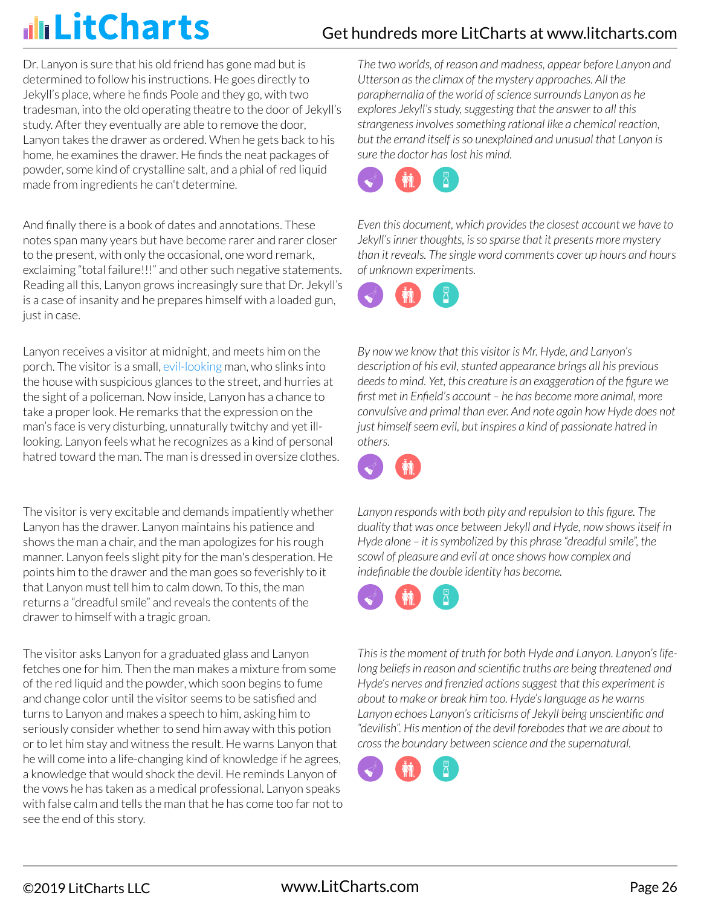## Get hundreds more LitCharts at [www.litcharts.com](https://www.litcharts.com/)

Dr. Lanyon is sure that his old friend has gone mad but is determined to follow his instructions. He goes directly to Jekyll's place, where he finds Poole and they go, with two tradesman, into the old operating theatre to the door of Jekyll's study. After they eventually are able to remove the door, Lanyon takes the drawer as ordered. When he gets back to his home, he examines the drawer. He finds the neat packages of powder, some kind of crystalline salt, and a phial of red liquid made from ingredients he can't determine.

And finally there is a book of dates and annotations. These notes span many years but have become rarer and rarer closer to the present, with only the occasional, one word remark, exclaiming "total failure!!!" and other such negative statements. Reading all this, Lanyon grows increasingly sure that Dr. Jekyll's is a case of insanity and he prepares himself with a loaded gun, just in case.

Lanyon receives a visitor at midnight, and meets him on the porch. The visitor is a small, evil-looking man, who slinks into the house with suspicious glances to the street, and hurries at the sight of a policeman. Now inside, Lanyon has a chance to take a proper look. He remarks that the expression on the man's face is very disturbing, unnaturally twitchy and yet illlooking. Lanyon feels what he recognizes as a kind of personal hatred toward the man. The man is dressed in oversize clothes.

The visitor is very excitable and demands impatiently whether Lanyon has the drawer. Lanyon maintains his patience and shows the man a chair, and the man apologizes for his rough manner. Lanyon feels slight pity for the man's desperation. He points him to the drawer and the man goes so feverishly to it that Lanyon must tell him to calm down. To this, the man returns a "dreadful smile" and reveals the contents of the drawer to himself with a tragic groan.

The visitor asks Lanyon for a graduated glass and Lanyon fetches one for him. Then the man makes a mixture from some of the red liquid and the powder, which soon begins to fume and change color until the visitor seems to be satisfied and turns to Lanyon and makes a speech to him, asking him to seriously consider whether to send him away with this potion or to let him stay and witness the result. He warns Lanyon that he will come into a life-changing kind of knowledge if he agrees, a knowledge that would shock the devil. He reminds Lanyon of the vows he has taken as a medical professional. Lanyon speaks with false calm and tells the man that he has come too far not to see the end of this story.

*The two worlds, of reason and madness, appear before Lanyon and Utterson as the climax of the mystery approaches. All the paraphernalia of the world of science surrounds Lanyon as he explores Jekyll's study, suggesting that the answer to all this strangeness involves something rational like a chemical reaction, but the errand itself is so unexplained and unusual that Lanyon is sure the doctor has lost his mind.*



*Even this document, which provides the closest account we have to Jekyll's inner thoughts, is so sparse that it presents more mystery than it reveals. The single word comments cover up hours and hours of unknown experiments.*



*By now we know that this visitor is Mr. Hyde, and Lanyon's description of his evil, stunted appearance brings all his previous deeds to mind. Yet, this creature is an exaggeration of the figure we first met in Enfield's account – he has become more animal, more convulsive and primal than ever. And note again how Hyde does not just himself seem evil, but inspires a kind of passionate hatred in others.*



*Lanyon responds with both pity and repulsion to this figure. The duality that was once between Jekyll and Hyde, now shows itself in Hyde alone – it is symbolized by this phrase "dreadful smile", the scowl of pleasure and evil at once shows how complex and indefinable the double identity has become.*



*This is the moment of truth for both Hyde and Lanyon. Lanyon's lifelong beliefs in reason and scientific truths are being threatened and Hyde's nerves and frenzied actions suggest that this experiment is about to make or break him too. Hyde's language as he warns Lanyon echoes Lanyon's criticisms of Jekyll being unscientific and "devilish". His mention of the devil forebodes that we are about to cross the boundary between science and the supernatural.*

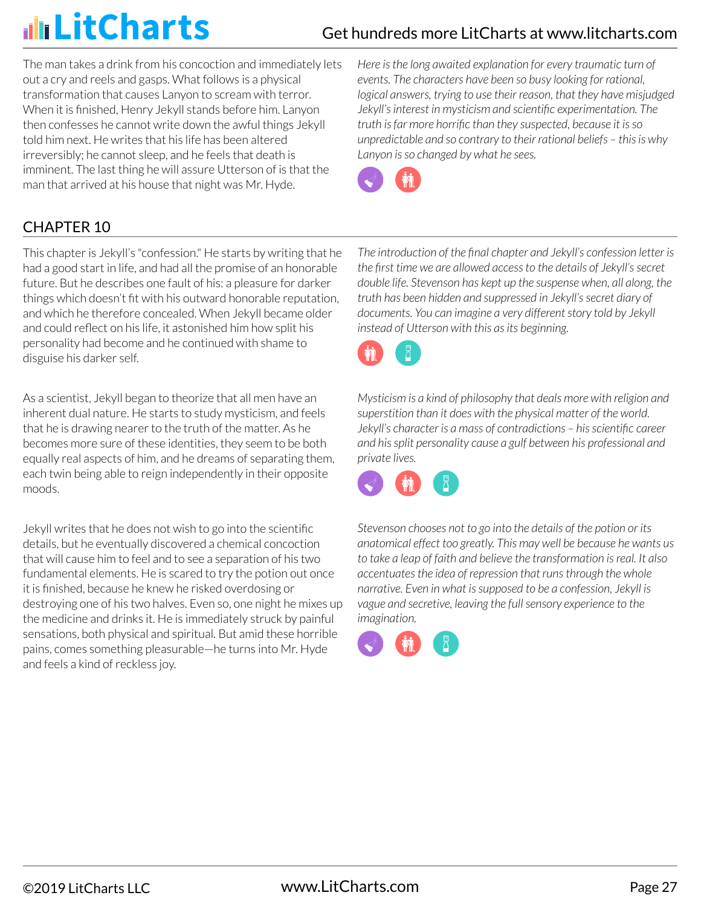The man takes a drink from his concoction and immediately lets out a cry and reels and gasps. What follows is a physical transformation that causes Lanyon to scream with terror. When it is finished, Henry Jekyll stands before him. Lanyon then confesses he cannot write down the awful things Jekyll told him next. He writes that his life has been altered irreversibly; he cannot sleep, and he feels that death is imminent. The last thing he will assure Utterson of is that the man that arrived at his house that night was Mr. Hyde.

*Here is the long awaited explanation for every traumatic turn of events. The characters have been so busy looking for rational, logical answers, trying to use their reason, that they have misjudged Jekyll's interest in mysticism and scientific experimentation. The truth is far more horrific than they suspected, because it is so unpredictable and so contrary to their rational beliefs – this is why Lanyon is so changed by what he sees.*



## CHAPTER 10

This chapter is Jekyll's "confession." He starts by writing that he had a good start in life, and had all the promise of an honorable future. But he describes one fault of his: a pleasure for darker things which doesn't fit with his outward honorable reputation, and which he therefore concealed. When Jekyll became older and could reflect on his life, it astonished him how split his personality had become and he continued with shame to disguise his darker self.

As a scientist, Jekyll began to theorize that all men have an inherent dual nature. He starts to study mysticism, and feels that he is drawing nearer to the truth of the matter. As he becomes more sure of these identities, they seem to be both equally real aspects of him, and he dreams of separating them, each twin being able to reign independently in their opposite moods.

Jekyll writes that he does not wish to go into the scientific details, but he eventually discovered a chemical concoction that will cause him to feel and to see a separation of his two fundamental elements. He is scared to try the potion out once it is finished, because he knew he risked overdosing or destroying one of his two halves. Even so, one night he mixes up the medicine and drinks it. He is immediately struck by painful sensations, both physical and spiritual. But amid these horrible pains, comes something pleasurable—he turns into Mr. Hyde and feels a kind of reckless joy.

*The introduction of the final chapter and Jekyll's confession letter is the first time we are allowed access to the details of Jekyll's secret double life. Stevenson has kept up the suspense when, all along, the truth has been hidden and suppressed in Jekyll's secret diary of documents. You can imagine a very different story told by Jekyll instead of Utterson with this as its beginning.*



*Mysticism is a kind of philosophy that deals more with religion and superstition than it does with the physical matter of the world. Jekyll's character is a mass of contradictions – his scientific career and his split personality cause a gulf between his professional and private lives.*



*Stevenson chooses not to go into the details of the potion or its anatomical effect too greatly. This may well be because he wants us to take a leap of faith and believe the transformation is real. It also accentuates the idea of repression that runs through the whole narrative. Even in what is supposed to be a confession, Jekyll is vague and secretive, leaving the full sensory experience to the imagination.*

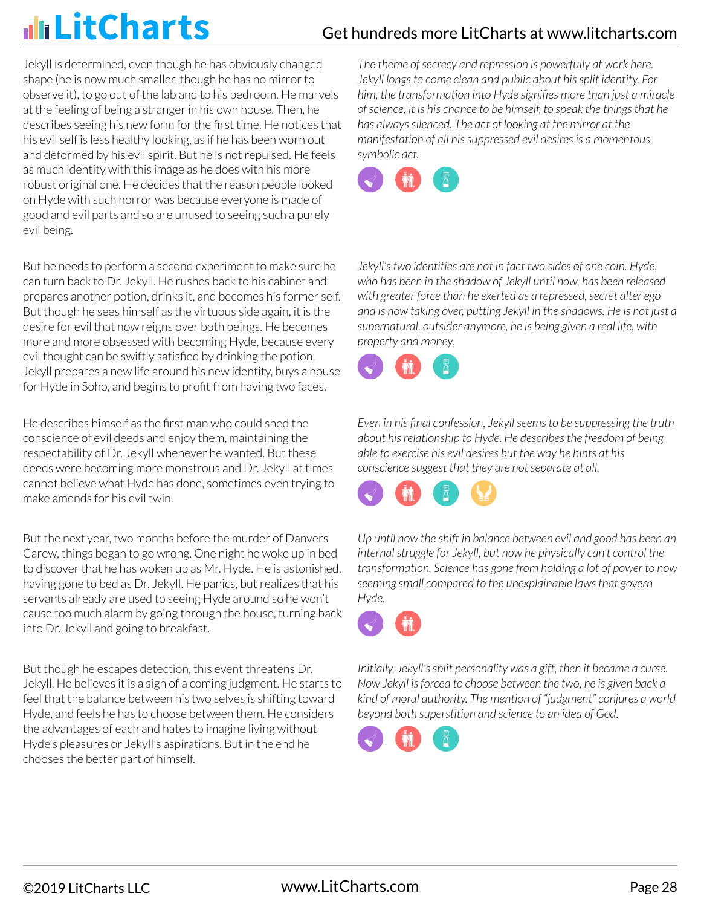Jekyll is determined, even though he has obviously changed shape (he is now much smaller, though he has no mirror to observe it), to go out of the lab and to his bedroom. He marvels at the feeling of being a stranger in his own house. Then, he describes seeing his new form for the first time. He notices that his evil self is less healthy looking, as if he has been worn out and deformed by his evil spirit. But he is not repulsed. He feels as much identity with this image as he does with his more robust original one. He decides that the reason people looked on Hyde with such horror was because everyone is made of good and evil parts and so are unused to seeing such a purely evil being.

But he needs to perform a second experiment to make sure he can turn back to Dr. Jekyll. He rushes back to his cabinet and prepares another potion, drinks it, and becomes his former self. But though he sees himself as the virtuous side again, it is the desire for evil that now reigns over both beings. He becomes more and more obsessed with becoming Hyde, because every evil thought can be swiftly satisfied by drinking the potion. Jekyll prepares a new life around his new identity, buys a house for Hyde in Soho, and begins to profit from having two faces.

He describes himself as the first man who could shed the conscience of evil deeds and enjoy them, maintaining the respectability of Dr. Jekyll whenever he wanted. But these deeds were becoming more monstrous and Dr. Jekyll at times cannot believe what Hyde has done, sometimes even trying to make amends for his evil twin.

But the next year, two months before the murder of Danvers Carew, things began to go wrong. One night he woke up in bed to discover that he has woken up as Mr. Hyde. He is astonished, having gone to bed as Dr. Jekyll. He panics, but realizes that his servants already are used to seeing Hyde around so he won't cause too much alarm by going through the house, turning back into Dr. Jekyll and going to breakfast.

But though he escapes detection, this event threatens Dr. Jekyll. He believes it is a sign of a coming judgment. He starts to feel that the balance between his two selves is shifting toward Hyde, and feels he has to choose between them. He considers the advantages of each and hates to imagine living without Hyde's pleasures or Jekyll's aspirations. But in the end he chooses the better part of himself.

*The theme of secrecy and repression is powerfully at work here. Jekyll longs to come clean and public about his split identity. For him, the transformation into Hyde signifies more than just a miracle of science, it is his chance to be himself, to speak the things that he has always silenced. The act of looking at the mirror at the manifestation of all his suppressed evil desires is a momentous, symbolic act.*



*Jekyll's two identities are not in fact two sides of one coin. Hyde, who has been in the shadow of Jekyll until now, has been released with greater force than he exerted as a repressed, secret alter ego and is now taking over, putting Jekyll in the shadows. He is not just a supernatural, outsider anymore, he is being given a real life, with property and money.*



*Even in his final confession, Jekyll seems to be suppressing the truth about his relationship to Hyde. He describes the freedom of being able to exercise his evil desires but the way he hints at his conscience suggest that they are not separate at all.*



*Up until now the shift in balance between evil and good has been an internal struggle for Jekyll, but now he physically can't control the transformation. Science has gone from holding a lot of power to now seeming small compared to the unexplainable laws that govern Hyde.*



*Initially, Jekyll's split personality was a gift, then it became a curse. Now Jekyll is forced to choose between the two, he is given back a kind of moral authority. The mention of "judgment" conjures a world beyond both superstition and science to an idea of God.*

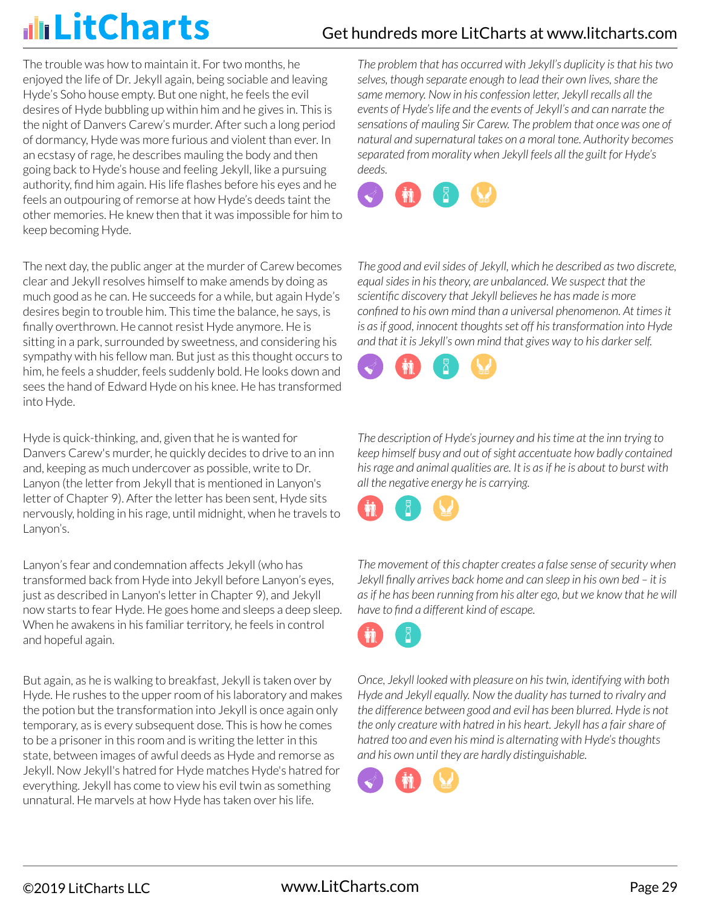The trouble was how to maintain it. For two months, he enjoyed the life of Dr. Jekyll again, being sociable and leaving Hyde's Soho house empty. But one night, he feels the evil desires of Hyde bubbling up within him and he gives in. This is the night of Danvers Carew's murder. After such a long period of dormancy, Hyde was more furious and violent than ever. In an ecstasy of rage, he describes mauling the body and then going back to Hyde's house and feeling Jekyll, like a pursuing authority, find him again. His life flashes before his eyes and he feels an outpouring of remorse at how Hyde's deeds taint the other memories. He knew then that it was impossible for him to keep becoming Hyde.

The next day, the public anger at the murder of Carew becomes clear and Jekyll resolves himself to make amends by doing as much good as he can. He succeeds for a while, but again Hyde's desires begin to trouble him. This time the balance, he says, is finally overthrown. He cannot resist Hyde anymore. He is sitting in a park, surrounded by sweetness, and considering his sympathy with his fellow man. But just as this thought occurs to him, he feels a shudder, feels suddenly bold. He looks down and sees the hand of Edward Hyde on his knee. He has transformed into Hyde.

Hyde is quick-thinking, and, given that he is wanted for Danvers Carew's murder, he quickly decides to drive to an inn and, keeping as much undercover as possible, write to Dr. Lanyon (the letter from Jekyll that is mentioned in Lanyon's letter of Chapter 9). After the letter has been sent, Hyde sits nervously, holding in his rage, until midnight, when he travels to Lanyon's.

Lanyon's fear and condemnation affects Jekyll (who has transformed back from Hyde into Jekyll before Lanyon's eyes, just as described in Lanyon's letter in Chapter 9), and Jekyll now starts to fear Hyde. He goes home and sleeps a deep sleep. When he awakens in his familiar territory, he feels in control and hopeful again.

But again, as he is walking to breakfast, Jekyll is taken over by Hyde. He rushes to the upper room of his laboratory and makes the potion but the transformation into Jekyll is once again only temporary, as is every subsequent dose. This is how he comes to be a prisoner in this room and is writing the letter in this state, between images of awful deeds as Hyde and remorse as Jekyll. Now Jekyll's hatred for Hyde matches Hyde's hatred for everything. Jekyll has come to view his evil twin as something unnatural. He marvels at how Hyde has taken over his life.

*The problem that has occurred with Jekyll's duplicity is that his two selves, though separate enough to lead their own lives, share the same memory. Now in his confession letter, Jekyll recalls all the events of Hyde's life and the events of Jekyll's and can narrate the sensations of mauling Sir Carew. The problem that once was one of natural and supernatural takes on a moral tone. Authority becomes separated from morality when Jekyll feels all the guilt for Hyde's deeds.*



*The good and evil sides of Jekyll, which he described as two discrete, equal sides in his theory, are unbalanced. We suspect that the scientific discovery that Jekyll believes he has made is more confined to his own mind than a universal phenomenon. At times it is as if good, innocent thoughts set off his transformation into Hyde and that it is Jekyll's own mind that gives way to his darker self.*



*The description of Hyde's journey and his time at the inn trying to keep himself busy and out of sight accentuate how badly contained his rage and animal qualities are. It is as if he is about to burst with all the negative energy he is carrying.*



*The movement of this chapter creates a false sense of security when Jekyll finally arrives back home and can sleep in his own bed – it is as if he has been running from his alter ego, but we know that he will have to find a different kind of escape.*



*Once, Jekyll looked with pleasure on his twin, identifying with both Hyde and Jekyll equally. Now the duality has turned to rivalry and the difference between good and evil has been blurred. Hyde is not the only creature with hatred in his heart. Jekyll has a fair share of hatred too and even his mind is alternating with Hyde's thoughts and his own until they are hardly distinguishable.*

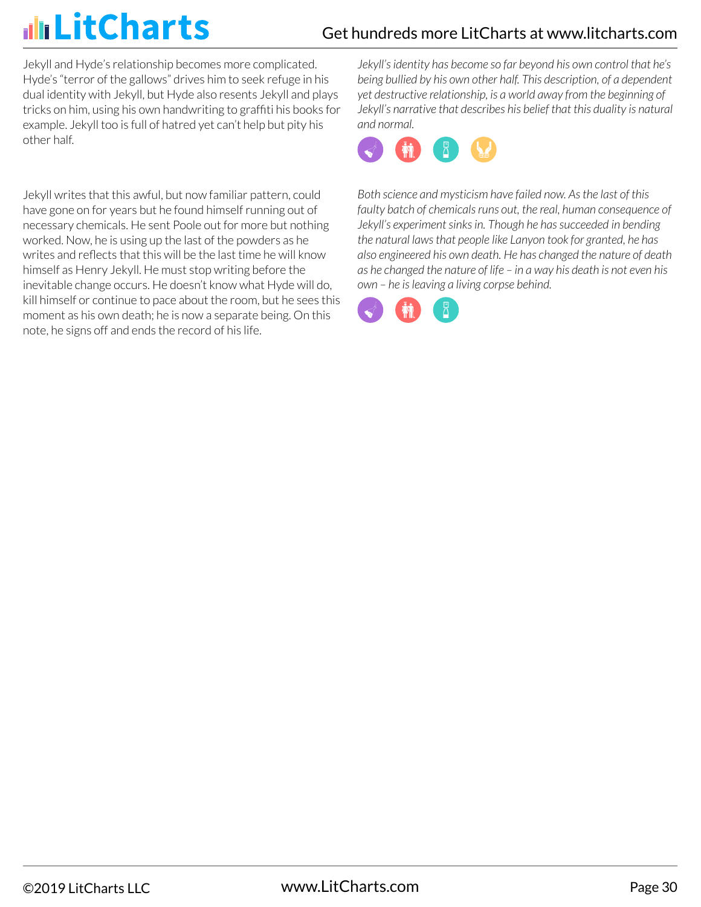Jekyll and Hyde's relationship becomes more complicated. Hyde's "terror of the gallows" drives him to seek refuge in his dual identity with Jekyll, but Hyde also resents Jekyll and plays tricks on him, using his own handwriting to graffiti his books for example. Jekyll too is full of hatred yet can't help but pity his other half.

Jekyll writes that this awful, but now familiar pattern, could have gone on for years but he found himself running out of necessary chemicals. He sent Poole out for more but nothing worked. Now, he is using up the last of the powders as he writes and reflects that this will be the last time he will know himself as Henry Jekyll. He must stop writing before the inevitable change occurs. He doesn't know what Hyde will do, kill himself or continue to pace about the room, but he sees this moment as his own death; he is now a separate being. On this note, he signs off and ends the record of his life.

*Jekyll's identity has become so far beyond his own control that he's being bullied by his own other half. This description, of a dependent yet destructive relationship, is a world away from the beginning of Jekyll's narrative that describes his belief that this duality is natural and normal.*



*Both science and mysticism have failed now. As the last of this faulty batch of chemicals runs out, the real, human consequence of Jekyll's experiment sinks in. Though he has succeeded in bending the natural laws that people like Lanyon took for granted, he has also engineered his own death. He has changed the nature of death as he changed the nature of life – in a way his death is not even his own – he is leaving a living corpse behind.*